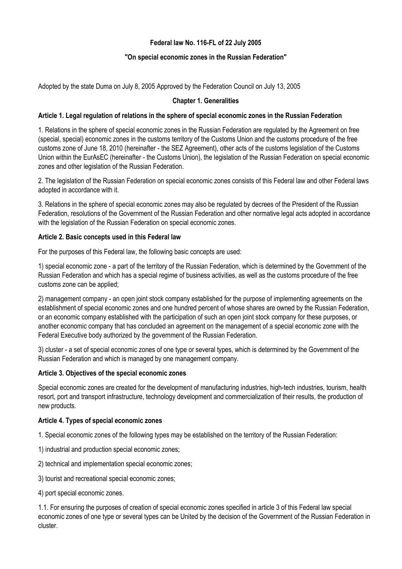# **Federal law No. 116-FL of 22 July 2005**

## **"On special economic zones in the Russian Federation"**

Adopted by the state Duma on July 8, 2005 Approved by the Federation Council on July 13, 2005

## **Chapter 1. Generalities**

#### **Article 1. Legal regulation of relations in the sphere of special economic zones in the Russian Federation**

1. Relations in the sphere of special economic zones in the Russian Federation are regulated by the Agreement on free (special, special) economic zones in the customs territory of the Customs Union and the customs procedure of the free customs zone of June 18, 2010 (hereinafter - the SEZ Agreement), other acts of the customs legislation of the Customs Union within the EurAsEC (hereinafter - the Customs Union), the legislation of the Russian Federation on special economic zones and other legislation of the Russian Federation.

2. The legislation of the Russian Federation on special economic zones consists of this Federal law and other Federal laws adopted in accordance with it.

3. Relations in the sphere of special economic zones may also be regulated by decrees of the President of the Russian Federation, resolutions of the Government of the Russian Federation and other normative legal acts adopted in accordance with the legislation of the Russian Federation on special economic zones.

### **Article 2. Basic concepts used in this Federal law**

For the purposes of this Federal law, the following basic concepts are used:

1) special economic zone - a part of the territory of the Russian Federation, which is determined by the Government of the Russian Federation and which has a special regime of business activities, as well as the customs procedure of the free customs zone can be applied;

2) management company - an open joint stock company established for the purpose of implementing agreements on the establishment of special economic zones and one hundred percent of whose shares are owned by the Russian Federation, or an economic company established with the participation of such an open joint stock company for these purposes, or another economic company that has concluded an agreement on the management of a special economic zone with the Federal Executive body authorized by the government of the Russian Federation.

3) cluster - a set of special economic zones of one type or several types, which is determined by the Government of the Russian Federation and which is managed by one management company.

#### **Article 3. Objectives of the special economic zones**

Special economic zones are created for the development of manufacturing industries, high-tech industries, tourism, health resort, port and transport infrastructure, technology development and commercialization of their results, the production of new products.

#### **Article 4. Types of special economic zones**

1. Special economic zones of the following types may be established on the territory of the Russian Federation:

- 1) industrial and production special economic zones;
- 2) technical and implementation special economic zones;
- 3) tourist and recreational special economic zones;
- 4) port special economic zones.

1.1. For ensuring the purposes of creation of special economic zones specified in article 3 of this Federal law special economic zones of one type or several types can be United by the decision of the Government of the Russian Federation in cluster.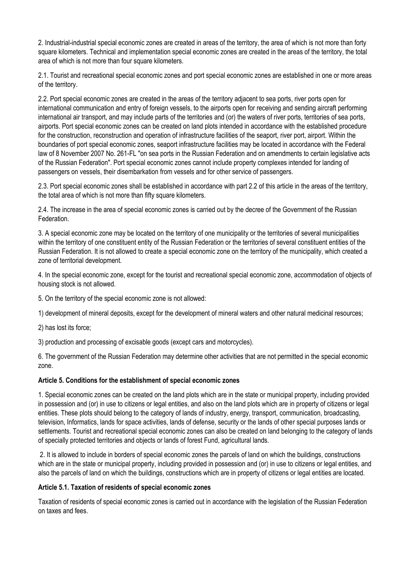2. Industrial-industrial special economic zones are created in areas of the territory, the area of which is not more than forty square kilometers. Technical and implementation special economic zones are created in the areas of the territory, the total area of which is not more than four square kilometers.

2.1. Tourist and recreational special economic zones and port special economic zones are established in one or more areas of the territory.

2.2. Port special economic zones are created in the areas of the territory adjacent to sea ports, river ports open for international communication and entry of foreign vessels, to the airports open for receiving and sending aircraft performing international air transport, and may include parts of the territories and (or) the waters of river ports, territories of sea ports, airports. Port special economic zones can be created on land plots intended in accordance with the established procedure for the construction, reconstruction and operation of infrastructure facilities of the seaport, river port, airport. Within the boundaries of port special economic zones, seaport infrastructure facilities may be located in accordance with the Federal law of 8 November 2007 No. 261-FL "on sea ports in the Russian Federation and on amendments to certain legislative acts of the Russian Federation". Port special economic zones cannot include property complexes intended for landing of passengers on vessels, their disembarkation from vessels and for other service of passengers.

2.3. Port special economic zones shall be established in accordance with part 2.2 of this article in the areas of the territory, the total area of which is not more than fifty square kilometers.

2.4. The increase in the area of special economic zones is carried out by the decree of the Government of the Russian Federation.

3. A special economic zone may be located on the territory of one municipality or the territories of several municipalities within the territory of one constituent entity of the Russian Federation or the territories of several constituent entities of the Russian Federation. It is not allowed to create a special economic zone on the territory of the municipality, which created a zone of territorial development.

4. In the special economic zone, except for the tourist and recreational special economic zone, accommodation of objects of housing stock is not allowed.

5. On the territory of the special economic zone is not allowed:

1) development of mineral deposits, except for the development of mineral waters and other natural medicinal resources;

2) has lost its force;

3) production and processing of excisable goods (except cars and motorcycles).

6. The government of the Russian Federation may determine other activities that are not permitted in the special economic zone.

#### **Article 5. Conditions for the establishment of special economic zones**

1. Special economic zones can be created on the land plots which are in the state or municipal property, including provided in possession and (or) in use to citizens or legal entities, and also on the land plots which are in property of citizens or legal entities. These plots should belong to the category of lands of industry, energy, transport, communication, broadcasting, television, Informatics, lands for space activities, lands of defense, security or the lands of other special purposes lands or settlements. Tourist and recreational special economic zones can also be created on land belonging to the category of lands of specially protected territories and objects or lands of forest Fund, agricultural lands.

2. It is allowed to include in borders of special economic zones the parcels of land on which the buildings, constructions which are in the state or municipal property, including provided in possession and (or) in use to citizens or legal entities, and also the parcels of land on which the buildings, constructions which are in property of citizens or legal entities are located.

## **Article 5.1. Taxation of residents of special economic zones**

Taxation of residents of special economic zones is carried out in accordance with the legislation of the Russian Federation on taxes and fees.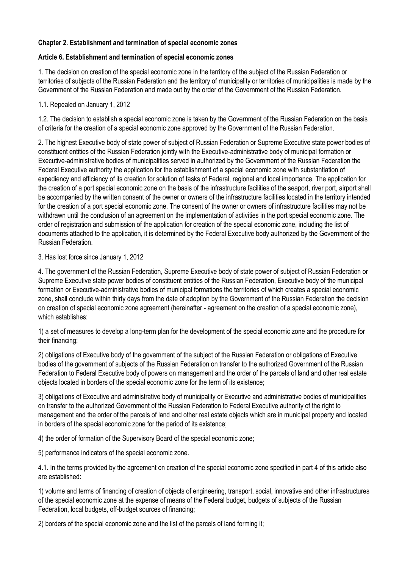## **Chapter 2. Establishment and termination of special economic zones**

## **Article 6. Establishment and termination of special economic zones**

1. The decision on creation of the special economic zone in the territory of the subject of the Russian Federation or territories of subjects of the Russian Federation and the territory of municipality or territories of municipalities is made by the Government of the Russian Federation and made out by the order of the Government of the Russian Federation.

1.1. Repealed on January 1, 2012

1.2. The decision to establish a special economic zone is taken by the Government of the Russian Federation on the basis of criteria for the creation of a special economic zone approved by the Government of the Russian Federation.

2. The highest Executive body of state power of subject of Russian Federation or Supreme Executive state power bodies of constituent entities of the Russian Federation jointly with the Executive-administrative body of municipal formation or Executive-administrative bodies of municipalities served in authorized by the Government of the Russian Federation the Federal Executive authority the application for the establishment of a special economic zone with substantiation of expediency and efficiency of its creation for solution of tasks of Federal, regional and local importance. The application for the creation of a port special economic zone on the basis of the infrastructure facilities of the seaport, river port, airport shall be accompanied by the written consent of the owner or owners of the infrastructure facilities located in the territory intended for the creation of a port special economic zone. The consent of the owner or owners of infrastructure facilities may not be withdrawn until the conclusion of an agreement on the implementation of activities in the port special economic zone. The order of registration and submission of the application for creation of the special economic zone, including the list of documents attached to the application, it is determined by the Federal Executive body authorized by the Government of the Russian Federation.

3. Has lost force since January 1, 2012

4. The government of the Russian Federation, Supreme Executive body of state power of subject of Russian Federation or Supreme Executive state power bodies of constituent entities of the Russian Federation, Executive body of the municipal formation or Executive-administrative bodies of municipal formations the territories of which creates a special economic zone, shall conclude within thirty days from the date of adoption by the Government of the Russian Federation the decision on creation of special economic zone agreement (hereinafter - agreement on the creation of a special economic zone), which establishes:

1) a set of measures to develop a long-term plan for the development of the special economic zone and the procedure for their financing;

2) obligations of Executive body of the government of the subject of the Russian Federation or obligations of Executive bodies of the government of subjects of the Russian Federation on transfer to the authorized Government of the Russian Federation to Federal Executive body of powers on management and the order of the parcels of land and other real estate objects located in borders of the special economic zone for the term of its existence;

3) obligations of Executive and administrative body of municipality or Executive and administrative bodies of municipalities on transfer to the authorized Government of the Russian Federation to Federal Executive authority of the right to management and the order of the parcels of land and other real estate objects which are in municipal property and located in borders of the special economic zone for the period of its existence;

4) the order of formation of the Supervisory Board of the special economic zone;

5) performance indicators of the special economic zone.

4.1. In the terms provided by the agreement on creation of the special economic zone specified in part 4 of this article also are established:

1) volume and terms of financing of creation of objects of engineering, transport, social, innovative and other infrastructures of the special economic zone at the expense of means of the Federal budget, budgets of subjects of the Russian Federation, local budgets, off-budget sources of financing;

2) borders of the special economic zone and the list of the parcels of land forming it;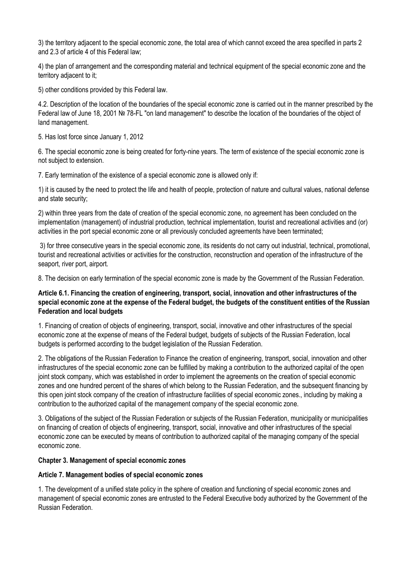3) the territory adjacent to the special economic zone, the total area of which cannot exceed the area specified in parts 2 and 2.3 of article 4 of this Federal law;

4) the plan of arrangement and the corresponding material and technical equipment of the special economic zone and the territory adjacent to it;

5) other conditions provided by this Federal law.

4.2. Description of the location of the boundaries of the special economic zone is carried out in the manner prescribed by the Federal law of June 18, 2001 № 78-FL "on land management" to describe the location of the boundaries of the object of land management.

5. Has lost force since January 1, 2012

6. The special economic zone is being created for forty-nine years. The term of existence of the special economic zone is not subject to extension.

7. Early termination of the existence of a special economic zone is allowed only if:

1) it is caused by the need to protect the life and health of people, protection of nature and cultural values, national defense and state security;

2) within three years from the date of creation of the special economic zone, no agreement has been concluded on the implementation (management) of industrial production, technical implementation, tourist and recreational activities and (or) activities in the port special economic zone or all previously concluded agreements have been terminated;

3) for three consecutive years in the special economic zone, its residents do not carry out industrial, technical, promotional, tourist and recreational activities or activities for the construction, reconstruction and operation of the infrastructure of the seaport, river port, airport.

8. The decision on early termination of the special economic zone is made by the Government of the Russian Federation.

# **Article 6.1. Financing the creation of engineering, transport, social, innovation and other infrastructures of the special economic zone at the expense of the Federal budget, the budgets of the constituent entities of the Russian Federation and local budgets**

1. Financing of creation of objects of engineering, transport, social, innovative and other infrastructures of the special economic zone at the expense of means of the Federal budget, budgets of subjects of the Russian Federation, local budgets is performed according to the budget legislation of the Russian Federation.

2. The obligations of the Russian Federation to Finance the creation of engineering, transport, social, innovation and other infrastructures of the special economic zone can be fulfilled by making a contribution to the authorized capital of the open joint stock company, which was established in order to implement the agreements on the creation of special economic zones and one hundred percent of the shares of which belong to the Russian Federation, and the subsequent financing by this open joint stock company of the creation of infrastructure facilities of special economic zones., including by making a contribution to the authorized capital of the management company of the special economic zone.

3. Obligations of the subject of the Russian Federation or subjects of the Russian Federation, municipality or municipalities on financing of creation of objects of engineering, transport, social, innovative and other infrastructures of the special economic zone can be executed by means of contribution to authorized capital of the managing company of the special economic zone.

## **Chapter 3. Management of special economic zones**

## **Article 7. Management bodies of special economic zones**

1. The development of a unified state policy in the sphere of creation and functioning of special economic zones and management of special economic zones are entrusted to the Federal Executive body authorized by the Government of the Russian Federation.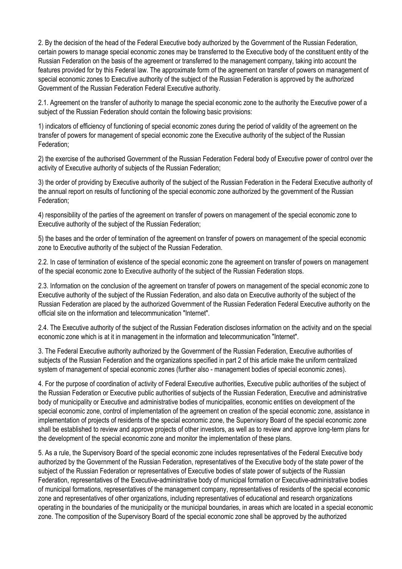2. By the decision of the head of the Federal Executive body authorized by the Government of the Russian Federation, certain powers to manage special economic zones may be transferred to the Executive body of the constituent entity of the Russian Federation on the basis of the agreement or transferred to the management company, taking into account the features provided for by this Federal law. The approximate form of the agreement on transfer of powers on management of special economic zones to Executive authority of the subject of the Russian Federation is approved by the authorized Government of the Russian Federation Federal Executive authority.

2.1. Agreement on the transfer of authority to manage the special economic zone to the authority the Executive power of a subject of the Russian Federation should contain the following basic provisions:

1) indicators of efficiency of functioning of special economic zones during the period of validity of the agreement on the transfer of powers for management of special economic zone the Executive authority of the subject of the Russian Federation;

2) the exercise of the authorised Government of the Russian Federation Federal body of Executive power of control over the activity of Executive authority of subjects of the Russian Federation;

3) the order of providing by Executive authority of the subject of the Russian Federation in the Federal Executive authority of the annual report on results of functioning of the special economic zone authorized by the government of the Russian Federation;

4) responsibility of the parties of the agreement on transfer of powers on management of the special economic zone to Executive authority of the subject of the Russian Federation;

5) the bases and the order of termination of the agreement on transfer of powers on management of the special economic zone to Executive authority of the subject of the Russian Federation.

2.2. In case of termination of existence of the special economic zone the agreement on transfer of powers on management of the special economic zone to Executive authority of the subject of the Russian Federation stops.

2.3. Information on the conclusion of the agreement on transfer of powers on management of the special economic zone to Executive authority of the subject of the Russian Federation, and also data on Executive authority of the subject of the Russian Federation are placed by the authorized Government of the Russian Federation Federal Executive authority on the official site on the information and telecommunication "Internet".

2.4. The Executive authority of the subject of the Russian Federation discloses information on the activity and on the special economic zone which is at it in management in the information and telecommunication "Internet".

3. The Federal Executive authority authorized by the Government of the Russian Federation, Executive authorities of subjects of the Russian Federation and the organizations specified in part 2 of this article make the uniform centralized system of management of special economic zones (further also - management bodies of special economic zones).

4. For the purpose of coordination of activity of Federal Executive authorities, Executive public authorities of the subject of the Russian Federation or Executive public authorities of subjects of the Russian Federation, Executive and administrative body of municipality or Executive and administrative bodies of municipalities, economic entities on development of the special economic zone, control of implementation of the agreement on creation of the special economic zone, assistance in implementation of projects of residents of the special economic zone, the Supervisory Board of the special economic zone shall be established to review and approve projects of other investors, as well as to review and approve long-term plans for the development of the special economic zone and monitor the implementation of these plans.

5. As a rule, the Supervisory Board of the special economic zone includes representatives of the Federal Executive body authorized by the Government of the Russian Federation, representatives of the Executive body of the state power of the subject of the Russian Federation or representatives of Executive bodies of state power of subjects of the Russian Federation, representatives of the Executive-administrative body of municipal formation or Executive-administrative bodies of municipal formations, representatives of the management company, representatives of residents of the special economic zone and representatives of other organizations, including representatives of educational and research organizations operating in the boundaries of the municipality or the municipal boundaries, in areas which are located in a special economic zone. The composition of the Supervisory Board of the special economic zone shall be approved by the authorized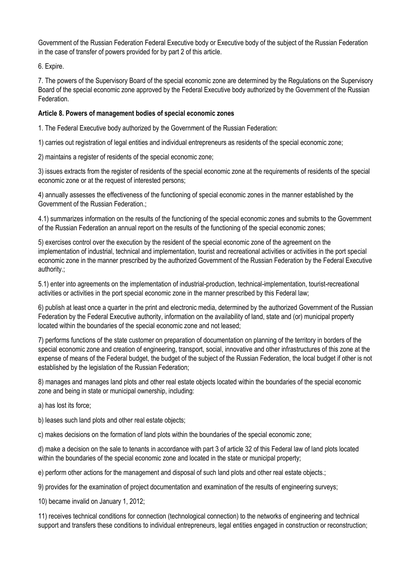Government of the Russian Federation Federal Executive body or Executive body of the subject of the Russian Federation in the case of transfer of powers provided for by part 2 of this article.

6. Expire.

7. The powers of the Supervisory Board of the special economic zone are determined by the Regulations on the Supervisory Board of the special economic zone approved by the Federal Executive body authorized by the Government of the Russian Federation.

# **Article 8. Powers of management bodies of special economic zones**

1. The Federal Executive body authorized by the Government of the Russian Federation:

1) carries out registration of legal entities and individual entrepreneurs as residents of the special economic zone;

2) maintains a register of residents of the special economic zone;

3) issues extracts from the register of residents of the special economic zone at the requirements of residents of the special economic zone or at the request of interested persons;

4) annually assesses the effectiveness of the functioning of special economic zones in the manner established by the Government of the Russian Federation.;

4.1) summarizes information on the results of the functioning of the special economic zones and submits to the Government of the Russian Federation an annual report on the results of the functioning of the special economic zones;

5) exercises control over the execution by the resident of the special economic zone of the agreement on the implementation of industrial, technical and implementation, tourist and recreational activities or activities in the port special economic zone in the manner prescribed by the authorized Government of the Russian Federation by the Federal Executive authority.;

5.1) enter into agreements on the implementation of industrial-production, technical-implementation, tourist-recreational activities or activities in the port special economic zone in the manner prescribed by this Federal law;

6) publish at least once a quarter in the print and electronic media, determined by the authorized Government of the Russian Federation by the Federal Executive authority, information on the availability of land, state and (or) municipal property located within the boundaries of the special economic zone and not leased;

7) performs functions of the state customer on preparation of documentation on planning of the territory in borders of the special economic zone and creation of engineering, transport, social, innovative and other infrastructures of this zone at the expense of means of the Federal budget, the budget of the subject of the Russian Federation, the local budget if other is not established by the legislation of the Russian Federation;

8) manages and manages land plots and other real estate objects located within the boundaries of the special economic zone and being in state or municipal ownership, including:

a) has lost its force;

b) leases such land plots and other real estate objects;

c) makes decisions on the formation of land plots within the boundaries of the special economic zone;

d) make a decision on the sale to tenants in accordance with part 3 of article 32 of this Federal law of land plots located within the boundaries of the special economic zone and located in the state or municipal property;

e) perform other actions for the management and disposal of such land plots and other real estate objects.;

9) provides for the examination of project documentation and examination of the results of engineering surveys;

10) became invalid on January 1, 2012;

11) receives technical conditions for connection (technological connection) to the networks of engineering and technical support and transfers these conditions to individual entrepreneurs, legal entities engaged in construction or reconstruction;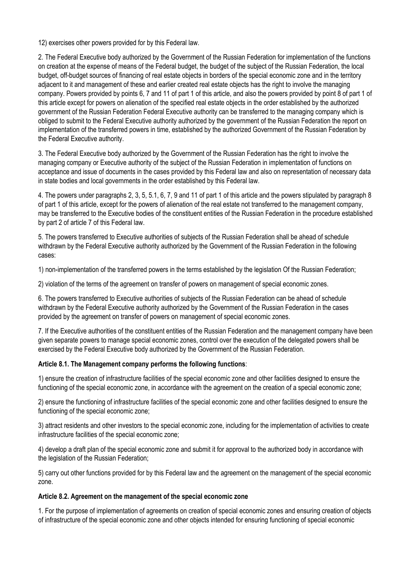12) exercises other powers provided for by this Federal law.

2. The Federal Executive body authorized by the Government of the Russian Federation for implementation of the functions on creation at the expense of means of the Federal budget, the budget of the subject of the Russian Federation, the local budget, off-budget sources of financing of real estate objects in borders of the special economic zone and in the territory adjacent to it and management of these and earlier created real estate objects has the right to involve the managing company. Powers provided by points 6, 7 and 11 of part 1 of this article, and also the powers provided by point 8 of part 1 of this article except for powers on alienation of the specified real estate objects in the order established by the authorized government of the Russian Federation Federal Executive authority can be transferred to the managing company which is obliged to submit to the Federal Executive authority authorized by the government of the Russian Federation the report on implementation of the transferred powers in time, established by the authorized Government of the Russian Federation by the Federal Executive authority.

3. The Federal Executive body authorized by the Government of the Russian Federation has the right to involve the managing company or Executive authority of the subject of the Russian Federation in implementation of functions on acceptance and issue of documents in the cases provided by this Federal law and also on representation of necessary data in state bodies and local governments in the order established by this Federal law.

4. The powers under paragraphs 2, 3, 5, 5.1, 6, 7, 9 and 11 of part 1 of this article and the powers stipulated by paragraph 8 of part 1 of this article, except for the powers of alienation of the real estate not transferred to the management company, may be transferred to the Executive bodies of the constituent entities of the Russian Federation in the procedure established by part 2 of article 7 of this Federal law.

5. The powers transferred to Executive authorities of subjects of the Russian Federation shall be ahead of schedule withdrawn by the Federal Executive authority authorized by the Government of the Russian Federation in the following cases:

1) non-implementation of the transferred powers in the terms established by the legislation Of the Russian Federation;

2) violation of the terms of the agreement on transfer of powers on management of special economic zones.

6. The powers transferred to Executive authorities of subjects of the Russian Federation can be ahead of schedule withdrawn by the Federal Executive authority authorized by the Government of the Russian Federation in the cases provided by the agreement on transfer of powers on management of special economic zones.

7. If the Executive authorities of the constituent entities of the Russian Federation and the management company have been given separate powers to manage special economic zones, control over the execution of the delegated powers shall be exercised by the Federal Executive body authorized by the Government of the Russian Federation.

## **Article 8.1. The Management company performs the following functions**:

1) ensure the creation of infrastructure facilities of the special economic zone and other facilities designed to ensure the functioning of the special economic zone, in accordance with the agreement on the creation of a special economic zone;

2) ensure the functioning of infrastructure facilities of the special economic zone and other facilities designed to ensure the functioning of the special economic zone;

3) attract residents and other investors to the special economic zone, including for the implementation of activities to create infrastructure facilities of the special economic zone;

4) develop a draft plan of the special economic zone and submit it for approval to the authorized body in accordance with the legislation of the Russian Federation;

5) carry out other functions provided for by this Federal law and the agreement on the management of the special economic zone.

## **Article 8.2. Agreement on the management of the special economic zone**

1. For the purpose of implementation of agreements on creation of special economic zones and ensuring creation of objects of infrastructure of the special economic zone and other objects intended for ensuring functioning of special economic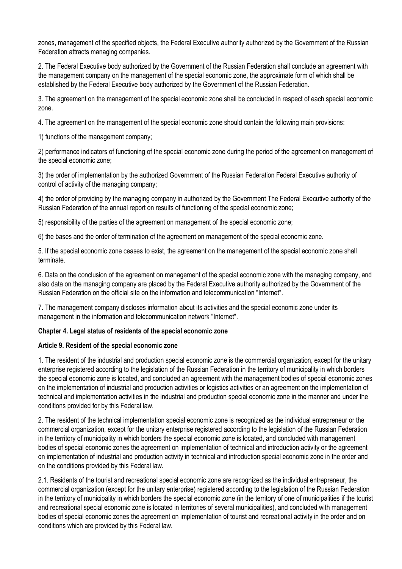zones, management of the specified objects, the Federal Executive authority authorized by the Government of the Russian Federation attracts managing companies.

2. The Federal Executive body authorized by the Government of the Russian Federation shall conclude an agreement with the management company on the management of the special economic zone, the approximate form of which shall be established by the Federal Executive body authorized by the Government of the Russian Federation.

3. The agreement on the management of the special economic zone shall be concluded in respect of each special economic zone.

4. The agreement on the management of the special economic zone should contain the following main provisions:

1) functions of the management company;

2) performance indicators of functioning of the special economic zone during the period of the agreement on management of the special economic zone;

3) the order of implementation by the authorized Government of the Russian Federation Federal Executive authority of control of activity of the managing company;

4) the order of providing by the managing company in authorized by the Government The Federal Executive authority of the Russian Federation of the annual report on results of functioning of the special economic zone;

5) responsibility of the parties of the agreement on management of the special economic zone;

6) the bases and the order of termination of the agreement on management of the special economic zone.

5. If the special economic zone ceases to exist, the agreement on the management of the special economic zone shall terminate.

6. Data on the conclusion of the agreement on management of the special economic zone with the managing company, and also data on the managing company are placed by the Federal Executive authority authorized by the Government of the Russian Federation on the official site on the information and telecommunication "Internet".

7. The management company discloses information about its activities and the special economic zone under its management in the information and telecommunication network "Internet".

## **Chapter 4. Legal status of residents of the special economic zone**

## **Article 9. Resident of the special economic zone**

1. The resident of the industrial and production special economic zone is the commercial organization, except for the unitary enterprise registered according to the legislation of the Russian Federation in the territory of municipality in which borders the special economic zone is located, and concluded an agreement with the management bodies of special economic zones on the implementation of industrial and production activities or logistics activities or an agreement on the implementation of technical and implementation activities in the industrial and production special economic zone in the manner and under the conditions provided for by this Federal law.

2. The resident of the technical implementation special economic zone is recognized as the individual entrepreneur or the commercial organization, except for the unitary enterprise registered according to the legislation of the Russian Federation in the territory of municipality in which borders the special economic zone is located, and concluded with management bodies of special economic zones the agreement on implementation of technical and introduction activity or the agreement on implementation of industrial and production activity in technical and introduction special economic zone in the order and on the conditions provided by this Federal law.

2.1. Residents of the tourist and recreational special economic zone are recognized as the individual entrepreneur, the commercial organization (except for the unitary enterprise) registered according to the legislation of the Russian Federation in the territory of municipality in which borders the special economic zone (in the territory of one of municipalities if the tourist and recreational special economic zone is located in territories of several municipalities), and concluded with management bodies of special economic zones the agreement on implementation of tourist and recreational activity in the order and on conditions which are provided by this Federal law.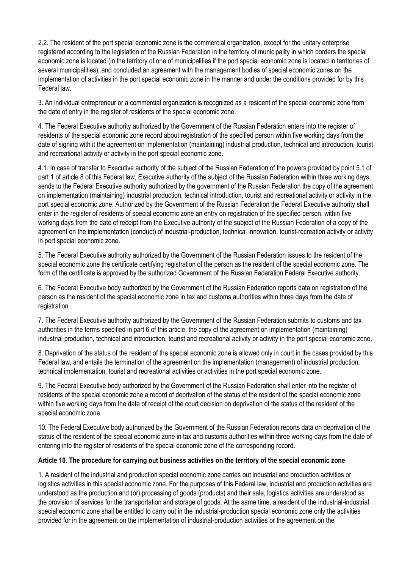2.2. The resident of the port special economic zone is the commercial organization, except for the unitary enterprise registered according to the legislation of the Russian Federation in the territory of municipality in which borders the special economic zone is located (in the territory of one of municipalities if the port special economic zone is located in territories of several municipalities), and concluded an agreement with the management bodies of special economic zones on the implementation of activities in the port special economic zone in the manner and under the conditions provided for by this Federal law.

3. An individual entrepreneur or a commercial organization is recognized as a resident of the special economic zone from the date of entry in the register of residents of the special economic zone.

4. The Federal Executive authority authorized by the Government of the Russian Federation enters into the register of residents of the special economic zone record about registration of the specified person within five working days from the date of signing with it the agreement on implementation (maintaining) industrial production, technical and introduction, tourist and recreational activity or activity in the port special economic zone.

4.1. In case of transfer to Executive authority of the subject of the Russian Federation of the powers provided by point 5.1 of part 1 of article 8 of this Federal law, Executive authority of the subject of the Russian Federation within three working days sends to the Federal Executive authority authorized by the government of the Russian Federation the copy of the agreement on implementation (maintaining) industrial production, technical introduction, tourist and recreational activity or activity in the port special economic zone. Authorized by the Government of the Russian Federation the Federal Executive authority shall enter in the register of residents of special economic zone an entry on registration of the specified person, within five working days from the date of receipt from the Executive authority of the subject of the Russian Federation of a copy of the agreement on the implementation (conduct) of industrial-production, technical innovation, tourist-recreation activity or activity in port special economic zone.

5. The Federal Executive authority authorized by the Government of the Russian Federation issues to the resident of the special economic zone the certificate certifying registration of the person as the resident of the special economic zone. The form of the certificate is approved by the authorized Government of the Russian Federation Federal Executive authority.

6. The Federal Executive body authorized by the Government of the Russian Federation reports data on registration of the person as the resident of the special economic zone in tax and customs authorities within three days from the date of registration.

7. The Federal Executive authority authorized by the Government of the Russian Federation submits to customs and tax authorities in the terms specified in part 6 of this article, the copy of the agreement on implementation (maintaining) industrial production, technical and introduction, tourist and recreational activity or activity in the port special economic zone.

8. Deprivation of the status of the resident of the special economic zone is allowed only in court in the cases provided by this Federal law, and entails the termination of the agreement on the implementation (management) of industrial production, technical implementation, tourist and recreational activities or activities in the port special economic zone.

9. The Federal Executive body authorized by the Government of the Russian Federation shall enter into the register of residents of the special economic zone a record of deprivation of the status of the resident of the special economic zone within five working days from the date of receipt of the court decision on deprivation of the status of the resident of the special economic zone.

10. The Federal Executive body authorized by the Government of the Russian Federation reports data on deprivation of the status of the resident of the special economic zone in tax and customs authorities within three working days from the date of entering into the register of residents of the special economic zone of the corresponding record.

## **Article 10. The procedure for carrying out business activities on the territory of the special economic zone**

1. A resident of the industrial and production special economic zone carries out industrial and production activities or logistics activities in this special economic zone. For the purposes of this Federal law, industrial and production activities are understood as the production and (or) processing of goods (products) and their sale, logistics activities are understood as the provision of services for the transportation and storage of goods. At the same time, a resident of the industrial-industrial special economic zone shall be entitled to carry out in the industrial-production special economic zone only the activities provided for in the agreement on the implementation of industrial-production activities or the agreement on the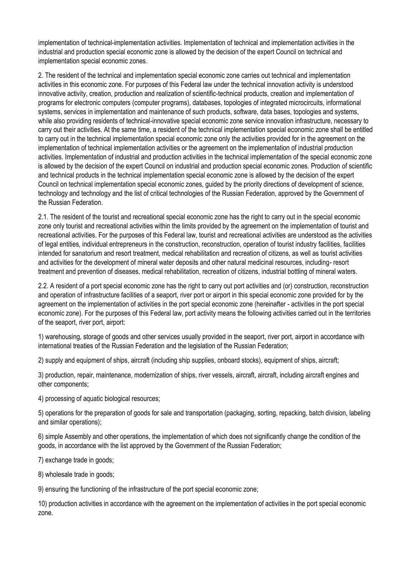implementation of technical-implementation activities. Implementation of technical and implementation activities in the industrial and production special economic zone is allowed by the decision of the expert Council on technical and implementation special economic zones.

2. The resident of the technical and implementation special economic zone carries out technical and implementation activities in this economic zone. For purposes of this Federal law under the technical innovation activity is understood innovative activity, creation, production and realization of scientific-technical products, creation and implementation of programs for electronic computers (computer programs), databases, topologies of integrated microcircuits, informational systems, services in implementation and maintenance of such products, software, data bases, topologies and systems, while also providing residents of technical-innovative special economic zone service innovation infrastructure, necessary to carry out their activities. At the same time, a resident of the technical implementation special economic zone shall be entitled to carry out in the technical implementation special economic zone only the activities provided for in the agreement on the implementation of technical implementation activities or the agreement on the implementation of industrial production activities. Implementation of industrial and production activities in the technical implementation of the special economic zone is allowed by the decision of the expert Council on industrial and production special economic zones. Production of scientific and technical products in the technical implementation special economic zone is allowed by the decision of the expert Council on technical implementation special economic zones, guided by the priority directions of development of science, technology and technology and the list of critical technologies of the Russian Federation, approved by the Government of the Russian Federation.

2.1. The resident of the tourist and recreational special economic zone has the right to carry out in the special economic zone only tourist and recreational activities within the limits provided by the agreement on the implementation of tourist and recreational activities. For the purposes of this Federal law, tourist and recreational activities are understood as the activities of legal entities, individual entrepreneurs in the construction, reconstruction, operation of tourist industry facilities, facilities intended for sanatorium and resort treatment, medical rehabilitation and recreation of citizens, as well as tourist activities and activities for the development of mineral water deposits and other natural medicinal resources, including- resort treatment and prevention of diseases, medical rehabilitation, recreation of citizens, industrial bottling of mineral waters.

2.2. A resident of a port special economic zone has the right to carry out port activities and (or) construction, reconstruction and operation of infrastructure facilities of a seaport, river port or airport in this special economic zone provided for by the agreement on the implementation of activities in the port special economic zone (hereinafter - activities in the port special economic zone). For the purposes of this Federal law, port activity means the following activities carried out in the territories of the seaport, river port, airport:

1) warehousing, storage of goods and other services usually provided in the seaport, river port, airport in accordance with international treaties of the Russian Federation and the legislation of the Russian Federation;

2) supply and equipment of ships, aircraft (including ship supplies, onboard stocks), equipment of ships, aircraft;

3) production, repair, maintenance, modernization of ships, river vessels, aircraft, aircraft, including aircraft engines and other components;

4) processing of aquatic biological resources;

5) operations for the preparation of goods for sale and transportation (packaging, sorting, repacking, batch division, labeling and similar operations);

6) simple Assembly and other operations, the implementation of which does not significantly change the condition of the goods, in accordance with the list approved by the Government of the Russian Federation;

7) exchange trade in goods;

8) wholesale trade in goods;

9) ensuring the functioning of the infrastructure of the port special economic zone;

10) production activities in accordance with the agreement on the implementation of activities in the port special economic zone.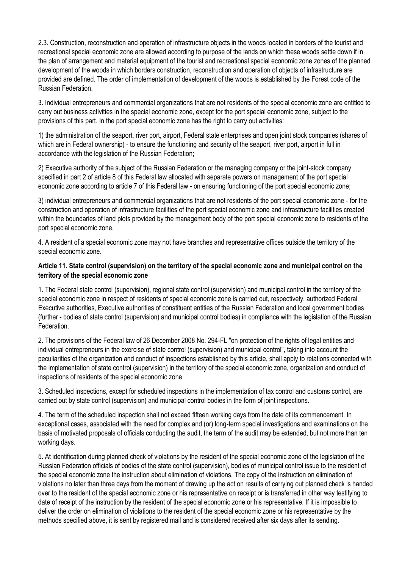2.3. Construction, reconstruction and operation of infrastructure objects in the woods located in borders of the tourist and recreational special economic zone are allowed according to purpose of the lands on which these woods settle down if in the plan of arrangement and material equipment of the tourist and recreational special economic zone zones of the planned development of the woods in which borders construction, reconstruction and operation of objects of infrastructure are provided are defined. The order of implementation of development of the woods is established by the Forest code of the Russian Federation.

3. Individual entrepreneurs and commercial organizations that are not residents of the special economic zone are entitled to carry out business activities in the special economic zone, except for the port special economic zone, subject to the provisions of this part. In the port special economic zone has the right to carry out activities:

1) the administration of the seaport, river port, airport, Federal state enterprises and open joint stock companies (shares of which are in Federal ownership) - to ensure the functioning and security of the seaport, river port, airport in full in accordance with the legislation of the Russian Federation;

2) Executive authority of the subject of the Russian Federation or the managing company or the joint-stock company specified in part 2 of article 8 of this Federal law allocated with separate powers on management of the port special economic zone according to article 7 of this Federal law - on ensuring functioning of the port special economic zone;

3) individual entrepreneurs and commercial organizations that are not residents of the port special economic zone - for the construction and operation of infrastructure facilities of the port special economic zone and infrastructure facilities created within the boundaries of land plots provided by the management body of the port special economic zone to residents of the port special economic zone.

4. A resident of a special economic zone may not have branches and representative offices outside the territory of the special economic zone.

# **Article 11. State control (supervision) on the territory of the special economic zone and municipal control on the territory of the special economic zone**

1. The Federal state control (supervision), regional state control (supervision) and municipal control in the territory of the special economic zone in respect of residents of special economic zone is carried out, respectively, authorized Federal Executive authorities, Executive authorities of constituent entities of the Russian Federation and local government bodies (further - bodies of state control (supervision) and municipal control bodies) in compliance with the legislation of the Russian Federation.

2. The provisions of the Federal law of 26 December 2008 No. 294-FL "on protection of the rights of legal entities and individual entrepreneurs in the exercise of state control (supervision) and municipal control", taking into account the peculiarities of the organization and conduct of inspections established by this article, shall apply to relations connected with the implementation of state control (supervision) in the territory of the special economic zone, organization and conduct of inspections of residents of the special economic zone.

3. Scheduled inspections, except for scheduled inspections in the implementation of tax control and customs control, are carried out by state control (supervision) and municipal control bodies in the form of joint inspections.

4. The term of the scheduled inspection shall not exceed fifteen working days from the date of its commencement. In exceptional cases, associated with the need for complex and (or) long-term special investigations and examinations on the basis of motivated proposals of officials conducting the audit, the term of the audit may be extended, but not more than ten working days.

5. At identification during planned check of violations by the resident of the special economic zone of the legislation of the Russian Federation officials of bodies of the state control (supervision), bodies of municipal control issue to the resident of the special economic zone the instruction about elimination of violations. The copy of the instruction on elimination of violations no later than three days from the moment of drawing up the act on results of carrying out planned check is handed over to the resident of the special economic zone or his representative on receipt or is transferred in other way testifying to date of receipt of the instruction by the resident of the special economic zone or his representative. If it is impossible to deliver the order on elimination of violations to the resident of the special economic zone or his representative by the methods specified above, it is sent by registered mail and is considered received after six days after its sending.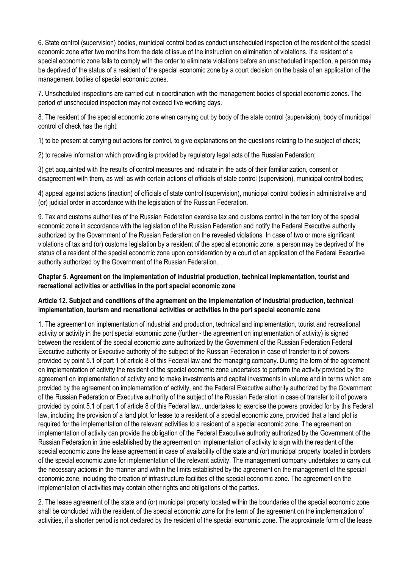6. State control (supervision) bodies, municipal control bodies conduct unscheduled inspection of the resident of the special economic zone after two months from the date of issue of the instruction on elimination of violations. If a resident of a special economic zone fails to comply with the order to eliminate violations before an unscheduled inspection, a person may be deprived of the status of a resident of the special economic zone by a court decision on the basis of an application of the management bodies of special economic zones.

7. Unscheduled inspections are carried out in coordination with the management bodies of special economic zones. The period of unscheduled inspection may not exceed five working days.

8. The resident of the special economic zone when carrying out by body of the state control (supervision), body of municipal control of check has the right:

1) to be present at carrying out actions for control, to give explanations on the questions relating to the subject of check;

2) to receive information which providing is provided by regulatory legal acts of the Russian Federation;

3) get acquainted with the results of control measures and indicate in the acts of their familiarization, consent or disagreement with them, as well as with certain actions of officials of state control (supervision), municipal control bodies;

4) appeal against actions (inaction) of officials of state control (supervision), municipal control bodies in administrative and (or) judicial order in accordance with the legislation of the Russian Federation.

9. Tax and customs authorities of the Russian Federation exercise tax and customs control in the territory of the special economic zone in accordance with the legislation of the Russian Federation and notify the Federal Executive authority authorized by the Government of the Russian Federation on the revealed violations. In case of two or more significant violations of tax and (or) customs legislation by a resident of the special economic zone, a person may be deprived of the status of a resident of the special economic zone upon consideration by a court of an application of the Federal Executive authority authorized by the Government of the Russian Federation.

## **Chapter 5. Agreement on the implementation of industrial production, technical implementation, tourist and recreational activities or activities in the port special economic zone**

## **Article 12. Subject and conditions of the agreement on the implementation of industrial production, technical implementation, tourism and recreational activities or activities in the port special economic zone**

1. The agreement on implementation of industrial and production, technical and implementation, tourist and recreational activity or activity in the port special economic zone (further - the agreement on implementation of activity) is signed between the resident of the special economic zone authorized by the Government of the Russian Federation Federal Executive authority or Executive authority of the subject of the Russian Federation in case of transfer to it of powers provided by point 5.1 of part 1 of article 8 of this Federal law and the managing company. During the term of the agreement on implementation of activity the resident of the special economic zone undertakes to perform the activity provided by the agreement on implementation of activity and to make investments and capital investments in volume and in terms which are provided by the agreement on implementation of activity, and the Federal Executive authority authorized by the Government of the Russian Federation or Executive authority of the subject of the Russian Federation in case of transfer to it of powers provided by point 5.1 of part 1 of article 8 of this Federal law., undertakes to exercise the powers provided for by this Federal law, including the provision of a land plot for lease to a resident of a special economic zone, provided that a land plot is required for the implementation of the relevant activities to a resident of a special economic zone. The agreement on implementation of activity can provide the obligation of the Federal Executive authority authorized by the Government of the Russian Federation in time established by the agreement on implementation of activity to sign with the resident of the special economic zone the lease agreement in case of availability of the state and (or) municipal property located in borders of the special economic zone for implementation of the relevant activity. The management company undertakes to carry out the necessary actions in the manner and within the limits established by the agreement on the management of the special economic zone, including the creation of infrastructure facilities of the special economic zone. The agreement on the implementation of activities may contain other rights and obligations of the parties.

2. The lease agreement of the state and (or) municipal property located within the boundaries of the special economic zone shall be concluded with the resident of the special economic zone for the term of the agreement on the implementation of activities, if a shorter period is not declared by the resident of the special economic zone. The approximate form of the lease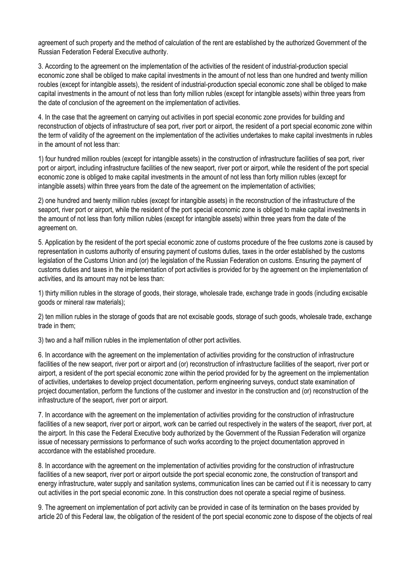agreement of such property and the method of calculation of the rent are established by the authorized Government of the Russian Federation Federal Executive authority.

3. According to the agreement on the implementation of the activities of the resident of industrial-production special economic zone shall be obliged to make capital investments in the amount of not less than one hundred and twenty million roubles (except for intangible assets), the resident of industrial-production special economic zone shall be obliged to make capital investments in the amount of not less than forty million rubles (except for intangible assets) within three years from the date of conclusion of the agreement on the implementation of activities.

4. In the case that the agreement on carrying out activities in port special economic zone provides for building and reconstruction of objects of infrastructure of sea port, river port or airport, the resident of a port special economic zone within the term of validity of the agreement on the implementation of the activities undertakes to make capital investments in rubles in the amount of not less than:

1) four hundred million roubles (except for intangible assets) in the construction of infrastructure facilities of sea port, river port or airport, including infrastructure facilities of the new seaport, river port or airport, while the resident of the port special economic zone is obliged to make capital investments in the amount of not less than forty million rubles (except for intangible assets) within three years from the date of the agreement on the implementation of activities;

2) one hundred and twenty million rubles (except for intangible assets) in the reconstruction of the infrastructure of the seaport, river port or airport, while the resident of the port special economic zone is obliged to make capital investments in the amount of not less than forty million rubles (except for intangible assets) within three years from the date of the agreement on.

5. Application by the resident of the port special economic zone of customs procedure of the free customs zone is caused by representation in customs authority of ensuring payment of customs duties, taxes in the order established by the customs legislation of the Customs Union and (or) the legislation of the Russian Federation on customs. Ensuring the payment of customs duties and taxes in the implementation of port activities is provided for by the agreement on the implementation of activities, and its amount may not be less than:

1) thirty million rubles in the storage of goods, their storage, wholesale trade, exchange trade in goods (including excisable goods or mineral raw materials);

2) ten million rubles in the storage of goods that are not excisable goods, storage of such goods, wholesale trade, exchange trade in them;

3) two and a half million rubles in the implementation of other port activities.

6. In accordance with the agreement on the implementation of activities providing for the construction of infrastructure facilities of the new seaport, river port or airport and (or) reconstruction of infrastructure facilities of the seaport, river port or airport, a resident of the port special economic zone within the period provided for by the agreement on the implementation of activities, undertakes to develop project documentation, perform engineering surveys, conduct state examination of project documentation, perform the functions of the customer and investor in the construction and (or) reconstruction of the infrastructure of the seaport, river port or airport.

7. In accordance with the agreement on the implementation of activities providing for the construction of infrastructure facilities of a new seaport, river port or airport, work can be carried out respectively in the waters of the seaport, river port, at the airport. In this case the Federal Executive body authorized by the Government of the Russian Federation will organize issue of necessary permissions to performance of such works according to the project documentation approved in accordance with the established procedure.

8. In accordance with the agreement on the implementation of activities providing for the construction of infrastructure facilities of a new seaport, river port or airport outside the port special economic zone, the construction of transport and energy infrastructure, water supply and sanitation systems, communication lines can be carried out if it is necessary to carry out activities in the port special economic zone. In this construction does not operate a special regime of business.

9. The agreement on implementation of port activity can be provided in case of its termination on the bases provided by article 20 of this Federal law, the obligation of the resident of the port special economic zone to dispose of the objects of real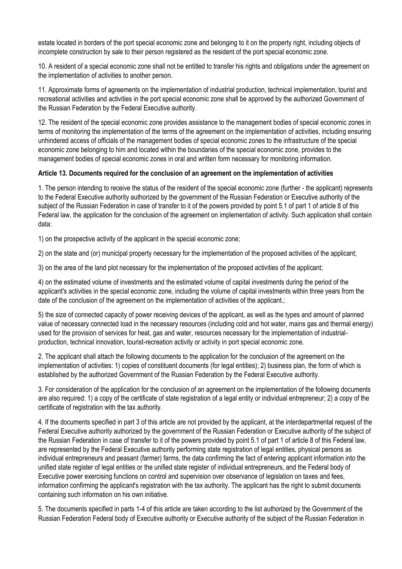estate located in borders of the port special economic zone and belonging to it on the property right, including objects of incomplete construction by sale to their person registered as the resident of the port special economic zone.

10. A resident of a special economic zone shall not be entitled to transfer his rights and obligations under the agreement on the implementation of activities to another person.

11. Approximate forms of agreements on the implementation of industrial production, technical implementation, tourist and recreational activities and activities in the port special economic zone shall be approved by the authorized Government of the Russian Federation by the Federal Executive authority.

12. The resident of the special economic zone provides assistance to the management bodies of special economic zones in terms of monitoring the implementation of the terms of the agreement on the implementation of activities, including ensuring unhindered access of officials of the management bodies of special economic zones to the infrastructure of the special economic zone belonging to him and located within the boundaries of the special economic zone, provides to the management bodies of special economic zones in oral and written form necessary for monitoring information.

## **Article 13. Documents required for the conclusion of an agreement on the implementation of activities**

1. The person intending to receive the status of the resident of the special economic zone (further - the applicant) represents to the Federal Executive authority authorized by the government of the Russian Federation or Executive authority of the subject of the Russian Federation in case of transfer to it of the powers provided by point 5.1 of part 1 of article 8 of this Federal law, the application for the conclusion of the agreement on implementation of activity. Such application shall contain data:

1) on the prospective activity of the applicant in the special economic zone;

2) on the state and (or) municipal property necessary for the implementation of the proposed activities of the applicant;

3) on the area of the land plot necessary for the implementation of the proposed activities of the applicant;

4) on the estimated volume of investments and the estimated volume of capital investments during the period of the applicant's activities in the special economic zone, including the volume of capital investments within three years from the date of the conclusion of the agreement on the implementation of activities of the applicant.;

5) the size of connected capacity of power receiving devices of the applicant, as well as the types and amount of planned value of necessary connected load in the necessary resources (including cold and hot water, mains gas and thermal energy) used for the provision of services for heat, gas and water, resources necessary for the implementation of industrialproduction, technical innovation, tourist-recreation activity or activity in port special economic zone.

2. The applicant shall attach the following documents to the application for the conclusion of the agreement on the implementation of activities: 1) copies of constituent documents (for legal entities); 2) business plan, the form of which is established by the authorized Government of the Russian Federation by the Federal Executive authority.

3. For consideration of the application for the conclusion of an agreement on the implementation of the following documents are also required: 1) a copy of the certificate of state registration of a legal entity or individual entrepreneur; 2) a copy of the certificate of registration with the tax authority.

4. If the documents specified in part 3 of this article are not provided by the applicant, at the interdepartmental request of the Federal Executive authority authorized by the government of the Russian Federation or Executive authority of the subject of the Russian Federation in case of transfer to it of the powers provided by point 5.1 of part 1 of article 8 of this Federal law, are represented by the Federal Executive authority performing state registration of legal entities, physical persons as individual entrepreneurs and peasant (farmer) farms, the data confirming the fact of entering applicant information into the unified state register of legal entities or the unified state register of individual entrepreneurs, and the Federal body of Executive power exercising functions on control and supervision over observance of legislation on taxes and fees, information confirming the applicant's registration with the tax authority. The applicant has the right to submit documents containing such information on his own initiative.

5. The documents specified in parts 1-4 of this article are taken according to the list authorized by the Government of the Russian Federation Federal body of Executive authority or Executive authority of the subject of the Russian Federation in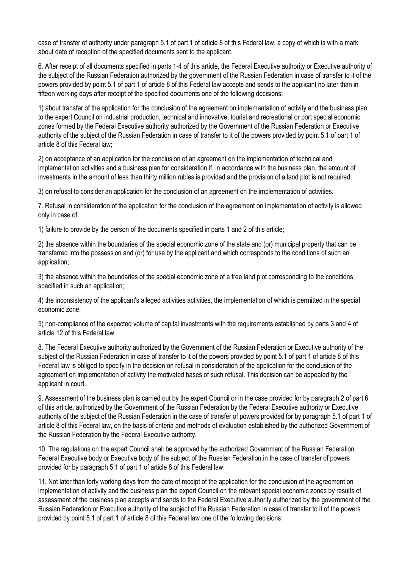case of transfer of authority under paragraph 5.1 of part 1 of article 8 of this Federal law, a copy of which is with a mark about date of reception of the specified documents sent to the applicant.

6. After receipt of all documents specified in parts 1-4 of this article, the Federal Executive authority or Executive authority of the subject of the Russian Federation authorized by the government of the Russian Federation in case of transfer to it of the powers provided by point 5.1 of part 1 of article 8 of this Federal law accepts and sends to the applicant no later than in fifteen working days after receipt of the specified documents one of the following decisions:

1) about transfer of the application for the conclusion of the agreement on implementation of activity and the business plan to the expert Council on industrial production, technical and innovative, tourist and recreational or port special economic zones formed by the Federal Executive authority authorized by the Government of the Russian Federation or Executive authority of the subject of the Russian Federation in case of transfer to it of the powers provided by point 5.1 of part 1 of article 8 of this Federal law;

2) on acceptance of an application for the conclusion of an agreement on the implementation of technical and implementation activities and a business plan for consideration if, in accordance with the business plan, the amount of investments in the amount of less than thirty million rubles is provided and the provision of a land plot is not required;

3) on refusal to consider an application for the conclusion of an agreement on the implementation of activities.

7. Refusal in consideration of the application for the conclusion of the agreement on implementation of activity is allowed only in case of:

1) failure to provide by the person of the documents specified in parts 1 and 2 of this article;

2) the absence within the boundaries of the special economic zone of the state and (or) municipal property that can be transferred into the possession and (or) for use by the applicant and which corresponds to the conditions of such an application;

3) the absence within the boundaries of the special economic zone of a free land plot corresponding to the conditions specified in such an application;

4) the inconsistency of the applicant's alleged activities activities, the implementation of which is permitted in the special economic zone;

5) non-compliance of the expected volume of capital investments with the requirements established by parts 3 and 4 of article 12 of this Federal law.

8. The Federal Executive authority authorized by the Government of the Russian Federation or Executive authority of the subject of the Russian Federation in case of transfer to it of the powers provided by point 5.1 of part 1 of article 8 of this Federal law is obliged to specify in the decision on refusal in consideration of the application for the conclusion of the agreement on implementation of activity the motivated bases of such refusal. This decision can be appealed by the applicant in court.

9. Assessment of the business plan is carried out by the expert Council or in the case provided for by paragraph 2 of part 6 of this article, authorized by the Government of the Russian Federation by the Federal Executive authority or Executive authority of the subject of the Russian Federation in the case of transfer of powers provided for by paragraph 5.1 of part 1 of article 8 of this Federal law, on the basis of criteria and methods of evaluation established by the authorized Government of the Russian Federation by the Federal Executive authority.

10. The regulations on the expert Council shall be approved by the authorized Government of the Russian Federation Federal Executive body or Executive body of the subject of the Russian Federation in the case of transfer of powers provided for by paragraph 5.1 of part 1 of article 8 of this Federal law.

11. Not later than forty working days from the date of receipt of the application for the conclusion of the agreement on implementation of activity and the business plan the expert Council on the relevant special economic zones by results of assessment of the business plan accepts and sends to the Federal Executive authority authorized by the government of the Russian Federation or Executive authority of the subject of the Russian Federation in case of transfer to it of the powers provided by point 5.1 of part 1 of article 8 of this Federal law one of the following decisions: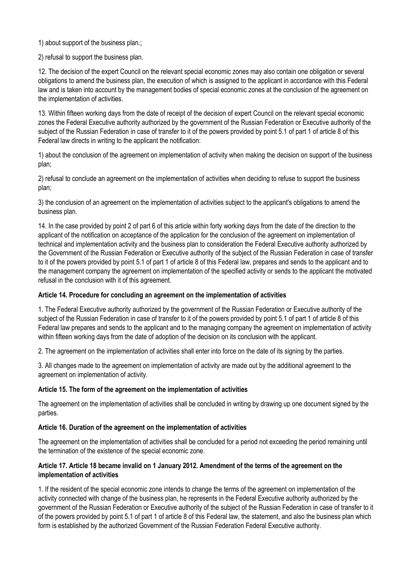1) about support of the business plan.;

2) refusal to support the business plan.

12. The decision of the expert Council on the relevant special economic zones may also contain one obligation or several obligations to amend the business plan, the execution of which is assigned to the applicant in accordance with this Federal law and is taken into account by the management bodies of special economic zones at the conclusion of the agreement on the implementation of activities.

13. Within fifteen working days from the date of receipt of the decision of expert Council on the relevant special economic zones the Federal Executive authority authorized by the government of the Russian Federation or Executive authority of the subject of the Russian Federation in case of transfer to it of the powers provided by point 5.1 of part 1 of article 8 of this Federal law directs in writing to the applicant the notification:

1) about the conclusion of the agreement on implementation of activity when making the decision on support of the business plan;

2) refusal to conclude an agreement on the implementation of activities when deciding to refuse to support the business plan;

3) the conclusion of an agreement on the implementation of activities subject to the applicant's obligations to amend the business plan.

14. In the case provided by point 2 of part 6 of this article within forty working days from the date of the direction to the applicant of the notification on acceptance of the application for the conclusion of the agreement on implementation of technical and implementation activity and the business plan to consideration the Federal Executive authority authorized by the Government of the Russian Federation or Executive authority of the subject of the Russian Federation in case of transfer to it of the powers provided by point 5.1 of part 1 of article 8 of this Federal law, prepares and sends to the applicant and to the management company the agreement on implementation of the specified activity or sends to the applicant the motivated refusal in the conclusion with it of this agreement.

# **Article 14. Procedure for concluding an agreement on the implementation of activities**

1. The Federal Executive authority authorized by the government of the Russian Federation or Executive authority of the subject of the Russian Federation in case of transfer to it of the powers provided by point 5.1 of part 1 of article 8 of this Federal law prepares and sends to the applicant and to the managing company the agreement on implementation of activity within fifteen working days from the date of adoption of the decision on its conclusion with the applicant.

2. The agreement on the implementation of activities shall enter into force on the date of its signing by the parties.

3. All changes made to the agreement on implementation of activity are made out by the additional agreement to the agreement on implementation of activity.

# **Article 15. The form of the agreement on the implementation of activities**

The agreement on the implementation of activities shall be concluded in writing by drawing up one document signed by the parties.

# **Article 16. Duration of the agreement on the implementation of activities**

The agreement on the implementation of activities shall be concluded for a period not exceeding the period remaining until the termination of the existence of the special economic zone.

## **Article 17. Article 18 became invalid on 1 January 2012. Amendment of the terms of the agreement on the implementation of activities**

1. If the resident of the special economic zone intends to change the terms of the agreement on implementation of the activity connected with change of the business plan, he represents in the Federal Executive authority authorized by the government of the Russian Federation or Executive authority of the subject of the Russian Federation in case of transfer to it of the powers provided by point 5.1 of part 1 of article 8 of this Federal law, the statement, and also the business plan which form is established by the authorized Government of the Russian Federation Federal Executive authority.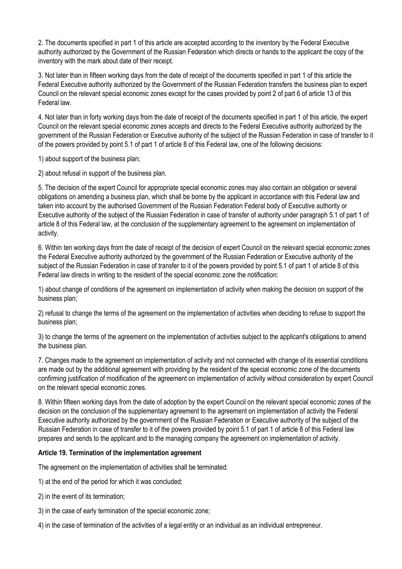2. The documents specified in part 1 of this article are accepted according to the inventory by the Federal Executive authority authorized by the Government of the Russian Federation which directs or hands to the applicant the copy of the inventory with the mark about date of their receipt.

3. Not later than in fifteen working days from the date of receipt of the documents specified in part 1 of this article the Federal Executive authority authorized by the Government of the Russian Federation transfers the business plan to expert Council on the relevant special economic zones except for the cases provided by point 2 of part 6 of article 13 of this Federal law.

4. Not later than in forty working days from the date of receipt of the documents specified in part 1 of this article, the expert Council on the relevant special economic zones accepts and directs to the Federal Executive authority authorized by the government of the Russian Federation or Executive authority of the subject of the Russian Federation in case of transfer to it of the powers provided by point 5.1 of part 1 of article 8 of this Federal law, one of the following decisions:

1) about support of the business plan;

2) about refusal in support of the business plan.

5. The decision of the expert Council for appropriate special economic zones may also contain an obligation or several obligations on amending a business plan, which shall be borne by the applicant in accordance with this Federal law and taken into account by the authorised Government of the Russian Federation Federal body of Executive authority or Executive authority of the subject of the Russian Federation in case of transfer of authority under paragraph 5.1 of part 1 of article 8 of this Federal law, at the conclusion of the supplementary agreement to the agreement on implementation of activity.

6. Within ten working days from the date of receipt of the decision of expert Council on the relevant special economic zones the Federal Executive authority authorized by the government of the Russian Federation or Executive authority of the subject of the Russian Federation in case of transfer to it of the powers provided by point 5.1 of part 1 of article 8 of this Federal law directs in writing to the resident of the special economic zone the notification:

1) about change of conditions of the agreement on implementation of activity when making the decision on support of the business plan;

2) refusal to change the terms of the agreement on the implementation of activities when deciding to refuse to support the business plan;

3) to change the terms of the agreement on the implementation of activities subject to the applicant's obligations to amend the business plan.

7. Changes made to the agreement on implementation of activity and not connected with change of its essential conditions are made out by the additional agreement with providing by the resident of the special economic zone of the documents confirming justification of modification of the agreement on implementation of activity without consideration by expert Council on the relevant special economic zones.

8. Within fifteen working days from the date of adoption by the expert Council on the relevant special economic zones of the decision on the conclusion of the supplementary agreement to the agreement on implementation of activity the Federal Executive authority authorized by the government of the Russian Federation or Executive authority of the subject of the Russian Federation in case of transfer to it of the powers provided by point 5.1 of part 1 of article 8 of this Federal law prepares and sends to the applicant and to the managing company the agreement on implementation of activity.

## **Article 19. Termination of the implementation agreement**

The agreement on the implementation of activities shall be terminated:

1) at the end of the period for which it was concluded;

- 2) in the event of its termination;
- 3) in the case of early termination of the special economic zone;
- 4) in the case of termination of the activities of a legal entity or an individual as an individual entrepreneur.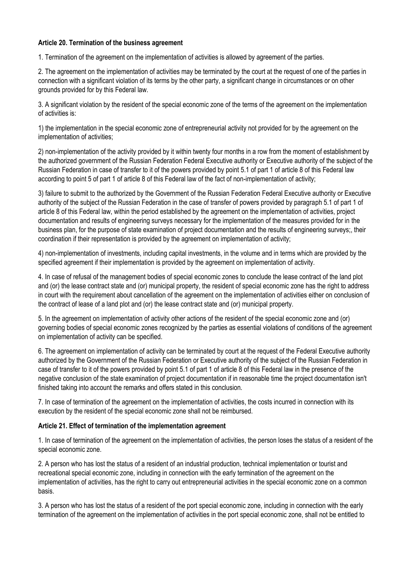## **Article 20. Termination of the business agreement**

1. Termination of the agreement on the implementation of activities is allowed by agreement of the parties.

2. The agreement on the implementation of activities may be terminated by the court at the request of one of the parties in connection with a significant violation of its terms by the other party, a significant change in circumstances or on other grounds provided for by this Federal law.

3. A significant violation by the resident of the special economic zone of the terms of the agreement on the implementation of activities is:

1) the implementation in the special economic zone of entrepreneurial activity not provided for by the agreement on the implementation of activities;

2) non-implementation of the activity provided by it within twenty four months in a row from the moment of establishment by the authorized government of the Russian Federation Federal Executive authority or Executive authority of the subject of the Russian Federation in case of transfer to it of the powers provided by point 5.1 of part 1 of article 8 of this Federal law according to point 5 of part 1 of article 8 of this Federal law of the fact of non-implementation of activity;

3) failure to submit to the authorized by the Government of the Russian Federation Federal Executive authority or Executive authority of the subject of the Russian Federation in the case of transfer of powers provided by paragraph 5.1 of part 1 of article 8 of this Federal law, within the period established by the agreement on the implementation of activities, project documentation and results of engineering surveys necessary for the implementation of the measures provided for in the business plan, for the purpose of state examination of project documentation and the results of engineering surveys;, their coordination if their representation is provided by the agreement on implementation of activity;

4) non-implementation of investments, including capital investments, in the volume and in terms which are provided by the specified agreement if their implementation is provided by the agreement on implementation of activity.

4. In case of refusal of the management bodies of special economic zones to conclude the lease contract of the land plot and (or) the lease contract state and (or) municipal property, the resident of special economic zone has the right to address in court with the requirement about cancellation of the agreement on the implementation of activities either on conclusion of the contract of lease of a land plot and (or) the lease contract state and (or) municipal property.

5. In the agreement on implementation of activity other actions of the resident of the special economic zone and (or) governing bodies of special economic zones recognized by the parties as essential violations of conditions of the agreement on implementation of activity can be specified.

6. The agreement on implementation of activity can be terminated by court at the request of the Federal Executive authority authorized by the Government of the Russian Federation or Executive authority of the subject of the Russian Federation in case of transfer to it of the powers provided by point 5.1 of part 1 of article 8 of this Federal law in the presence of the negative conclusion of the state examination of project documentation if in reasonable time the project documentation isn't finished taking into account the remarks and offers stated in this conclusion.

7. In case of termination of the agreement on the implementation of activities, the costs incurred in connection with its execution by the resident of the special economic zone shall not be reimbursed.

## **Article 21. Effect of termination of the implementation agreement**

1. In case of termination of the agreement on the implementation of activities, the person loses the status of a resident of the special economic zone.

2. A person who has lost the status of a resident of an industrial production, technical implementation or tourist and recreational special economic zone, including in connection with the early termination of the agreement on the implementation of activities, has the right to carry out entrepreneurial activities in the special economic zone on a common basis.

3. A person who has lost the status of a resident of the port special economic zone, including in connection with the early termination of the agreement on the implementation of activities in the port special economic zone, shall not be entitled to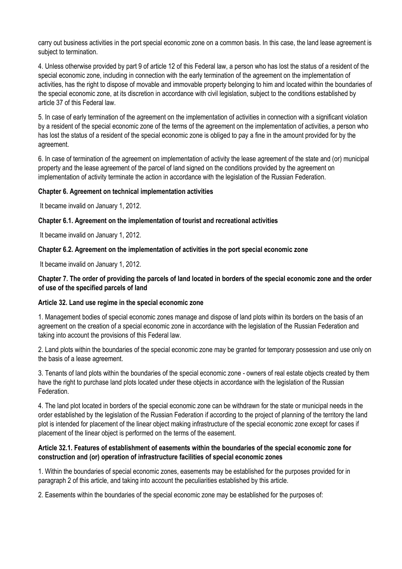carry out business activities in the port special economic zone on a common basis. In this case, the land lease agreement is subject to termination.

4. Unless otherwise provided by part 9 of article 12 of this Federal law, a person who has lost the status of a resident of the special economic zone, including in connection with the early termination of the agreement on the implementation of activities, has the right to dispose of movable and immovable property belonging to him and located within the boundaries of the special economic zone, at its discretion in accordance with civil legislation, subject to the conditions established by article 37 of this Federal law.

5. In case of early termination of the agreement on the implementation of activities in connection with a significant violation by a resident of the special economic zone of the terms of the agreement on the implementation of activities, a person who has lost the status of a resident of the special economic zone is obliged to pay a fine in the amount provided for by the agreement.

6. In case of termination of the agreement on implementation of activity the lease agreement of the state and (or) municipal property and the lease agreement of the parcel of land signed on the conditions provided by the agreement on implementation of activity terminate the action in accordance with the legislation of the Russian Federation.

## **Chapter 6. Agreement on technical implementation activities**

It became invalid on January 1, 2012.

### **Chapter 6.1. Agreement on the implementation of tourist and recreational activities**

It became invalid on January 1, 2012.

### **Chapter 6.2. Agreement on the implementation of activities in the port special economic zone**

It became invalid on January 1, 2012.

## **Chapter 7. The order of providing the parcels of land located in borders of the special economic zone and the order of use of the specified parcels of land**

## **Article 32. Land use regime in the special economic zone**

1. Management bodies of special economic zones manage and dispose of land plots within its borders on the basis of an agreement on the creation of a special economic zone in accordance with the legislation of the Russian Federation and taking into account the provisions of this Federal law.

2. Land plots within the boundaries of the special economic zone may be granted for temporary possession and use only on the basis of a lease agreement.

3. Tenants of land plots within the boundaries of the special economic zone - owners of real estate objects created by them have the right to purchase land plots located under these objects in accordance with the legislation of the Russian Federation.

4. The land plot located in borders of the special economic zone can be withdrawn for the state or municipal needs in the order established by the legislation of the Russian Federation if according to the project of planning of the territory the land plot is intended for placement of the linear object making infrastructure of the special economic zone except for cases if placement of the linear object is performed on the terms of the easement.

### **Article 32.1. Features of establishment of easements within the boundaries of the special economic zone for construction and (or) operation of infrastructure facilities of special economic zones**

1. Within the boundaries of special economic zones, easements may be established for the purposes provided for in paragraph 2 of this article, and taking into account the peculiarities established by this article.

2. Easements within the boundaries of the special economic zone may be established for the purposes of: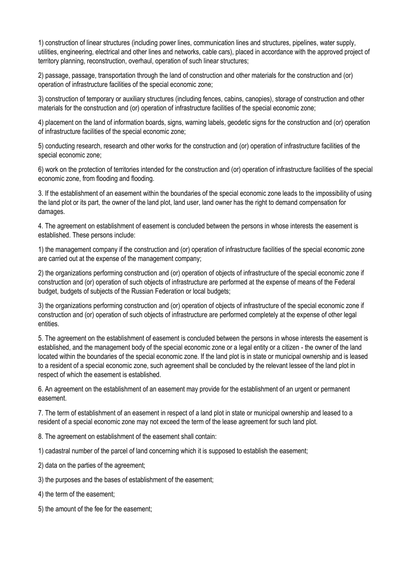1) construction of linear structures (including power lines, communication lines and structures, pipelines, water supply, utilities, engineering, electrical and other lines and networks, cable cars), placed in accordance with the approved project of territory planning, reconstruction, overhaul, operation of such linear structures;

2) passage, passage, transportation through the land of construction and other materials for the construction and (or) operation of infrastructure facilities of the special economic zone;

3) construction of temporary or auxiliary structures (including fences, cabins, canopies), storage of construction and other materials for the construction and (or) operation of infrastructure facilities of the special economic zone;

4) placement on the land of information boards, signs, warning labels, geodetic signs for the construction and (or) operation of infrastructure facilities of the special economic zone;

5) conducting research, research and other works for the construction and (or) operation of infrastructure facilities of the special economic zone;

6) work on the protection of territories intended for the construction and (or) operation of infrastructure facilities of the special economic zone, from flooding and flooding.

3. If the establishment of an easement within the boundaries of the special economic zone leads to the impossibility of using the land plot or its part, the owner of the land plot, land user, land owner has the right to demand compensation for damages.

4. The agreement on establishment of easement is concluded between the persons in whose interests the easement is established. These persons include:

1) the management company if the construction and (or) operation of infrastructure facilities of the special economic zone are carried out at the expense of the management company;

2) the organizations performing construction and (or) operation of objects of infrastructure of the special economic zone if construction and (or) operation of such objects of infrastructure are performed at the expense of means of the Federal budget, budgets of subjects of the Russian Federation or local budgets;

3) the organizations performing construction and (or) operation of objects of infrastructure of the special economic zone if construction and (or) operation of such objects of infrastructure are performed completely at the expense of other legal entities.

5. The agreement on the establishment of easement is concluded between the persons in whose interests the easement is established, and the management body of the special economic zone or a legal entity or a citizen - the owner of the land located within the boundaries of the special economic zone. If the land plot is in state or municipal ownership and is leased to a resident of a special economic zone, such agreement shall be concluded by the relevant lessee of the land plot in respect of which the easement is established.

6. An agreement on the establishment of an easement may provide for the establishment of an urgent or permanent easement.

7. The term of establishment of an easement in respect of a land plot in state or municipal ownership and leased to a resident of a special economic zone may not exceed the term of the lease agreement for such land plot.

8. The agreement on establishment of the easement shall contain:

1) cadastral number of the parcel of land concerning which it is supposed to establish the easement;

2) data on the parties of the agreement;

3) the purposes and the bases of establishment of the easement;

4) the term of the easement;

5) the amount of the fee for the easement;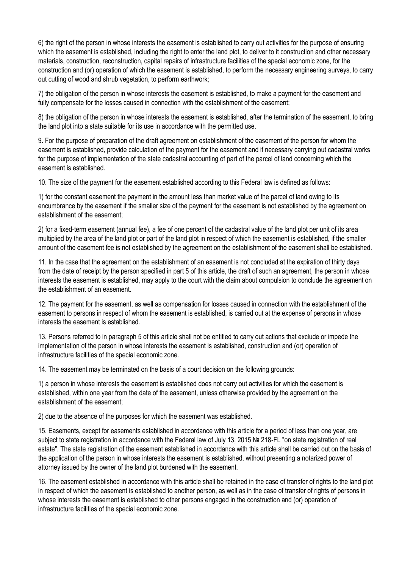6) the right of the person in whose interests the easement is established to carry out activities for the purpose of ensuring which the easement is established, including the right to enter the land plot, to deliver to it construction and other necessary materials, construction, reconstruction, capital repairs of infrastructure facilities of the special economic zone, for the construction and (or) operation of which the easement is established, to perform the necessary engineering surveys, to carry out cutting of wood and shrub vegetation, to perform earthwork;

7) the obligation of the person in whose interests the easement is established, to make a payment for the easement and fully compensate for the losses caused in connection with the establishment of the easement:

8) the obligation of the person in whose interests the easement is established, after the termination of the easement, to bring the land plot into a state suitable for its use in accordance with the permitted use.

9. For the purpose of preparation of the draft agreement on establishment of the easement of the person for whom the easement is established, provide calculation of the payment for the easement and if necessary carrying out cadastral works for the purpose of implementation of the state cadastral accounting of part of the parcel of land concerning which the easement is established.

10. The size of the payment for the easement established according to this Federal law is defined as follows:

1) for the constant easement the payment in the amount less than market value of the parcel of land owing to its encumbrance by the easement if the smaller size of the payment for the easement is not established by the agreement on establishment of the easement;

2) for a fixed-term easement (annual fee), a fee of one percent of the cadastral value of the land plot per unit of its area multiplied by the area of the land plot or part of the land plot in respect of which the easement is established, if the smaller amount of the easement fee is not established by the agreement on the establishment of the easement shall be established.

11. In the case that the agreement on the establishment of an easement is not concluded at the expiration of thirty days from the date of receipt by the person specified in part 5 of this article, the draft of such an agreement, the person in whose interests the easement is established, may apply to the court with the claim about compulsion to conclude the agreement on the establishment of an easement.

12. The payment for the easement, as well as compensation for losses caused in connection with the establishment of the easement to persons in respect of whom the easement is established, is carried out at the expense of persons in whose interests the easement is established.

13. Persons referred to in paragraph 5 of this article shall not be entitled to carry out actions that exclude or impede the implementation of the person in whose interests the easement is established, construction and (or) operation of infrastructure facilities of the special economic zone.

14. The easement may be terminated on the basis of a court decision on the following grounds:

1) a person in whose interests the easement is established does not carry out activities for which the easement is established, within one year from the date of the easement, unless otherwise provided by the agreement on the establishment of the easement;

2) due to the absence of the purposes for which the easement was established.

15. Easements, except for easements established in accordance with this article for a period of less than one year, are subject to state registration in accordance with the Federal law of July 13, 2015 № 218-FL "on state registration of real estate". The state registration of the easement established in accordance with this article shall be carried out on the basis of the application of the person in whose interests the easement is established, without presenting a notarized power of attorney issued by the owner of the land plot burdened with the easement.

16. The easement established in accordance with this article shall be retained in the case of transfer of rights to the land plot in respect of which the easement is established to another person, as well as in the case of transfer of rights of persons in whose interests the easement is established to other persons engaged in the construction and (or) operation of infrastructure facilities of the special economic zone.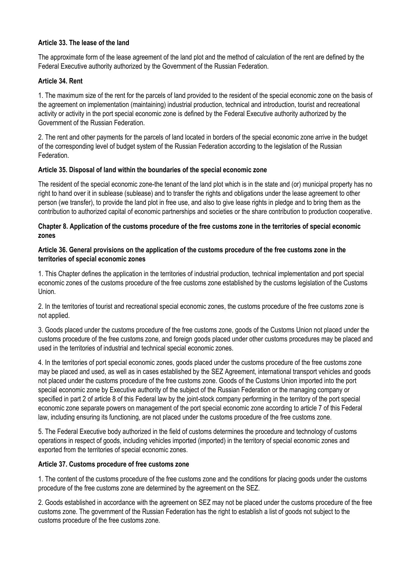## **Article 33. The lease of the land**

The approximate form of the lease agreement of the land plot and the method of calculation of the rent are defined by the Federal Executive authority authorized by the Government of the Russian Federation.

# **Article 34. Rent**

1. The maximum size of the rent for the parcels of land provided to the resident of the special economic zone on the basis of the agreement on implementation (maintaining) industrial production, technical and introduction, tourist and recreational activity or activity in the port special economic zone is defined by the Federal Executive authority authorized by the Government of the Russian Federation.

2. The rent and other payments for the parcels of land located in borders of the special economic zone arrive in the budget of the corresponding level of budget system of the Russian Federation according to the legislation of the Russian Federation.

## **Article 35. Disposal of land within the boundaries of the special economic zone**

The resident of the special economic zone-the tenant of the land plot which is in the state and (or) municipal property has no right to hand over it in sublease (sublease) and to transfer the rights and obligations under the lease agreement to other person (we transfer), to provide the land plot in free use, and also to give lease rights in pledge and to bring them as the contribution to authorized capital of economic partnerships and societies or the share contribution to production cooperative.

## **Chapter 8. Application of the customs procedure of the free customs zone in the territories of special economic zones**

## **Article 36. General provisions on the application of the customs procedure of the free customs zone in the territories of special economic zones**

1. This Chapter defines the application in the territories of industrial production, technical implementation and port special economic zones of the customs procedure of the free customs zone established by the customs legislation of the Customs Union.

2. In the territories of tourist and recreational special economic zones, the customs procedure of the free customs zone is not applied.

3. Goods placed under the customs procedure of the free customs zone, goods of the Customs Union not placed under the customs procedure of the free customs zone, and foreign goods placed under other customs procedures may be placed and used in the territories of industrial and technical special economic zones.

4. In the territories of port special economic zones, goods placed under the customs procedure of the free customs zone may be placed and used, as well as in cases established by the SEZ Agreement, international transport vehicles and goods not placed under the customs procedure of the free customs zone. Goods of the Customs Union imported into the port special economic zone by Executive authority of the subject of the Russian Federation or the managing company or specified in part 2 of article 8 of this Federal law by the joint-stock company performing in the territory of the port special economic zone separate powers on management of the port special economic zone according to article 7 of this Federal law, including ensuring its functioning, are not placed under the customs procedure of the free customs zone.

5. The Federal Executive body authorized in the field of customs determines the procedure and technology of customs operations in respect of goods, including vehicles imported (imported) in the territory of special economic zones and exported from the territories of special economic zones.

## **Article 37. Customs procedure of free customs zone**

1. The content of the customs procedure of the free customs zone and the conditions for placing goods under the customs procedure of the free customs zone are determined by the agreement on the SEZ.

2. Goods established in accordance with the agreement on SEZ may not be placed under the customs procedure of the free customs zone. The government of the Russian Federation has the right to establish a list of goods not subject to the customs procedure of the free customs zone.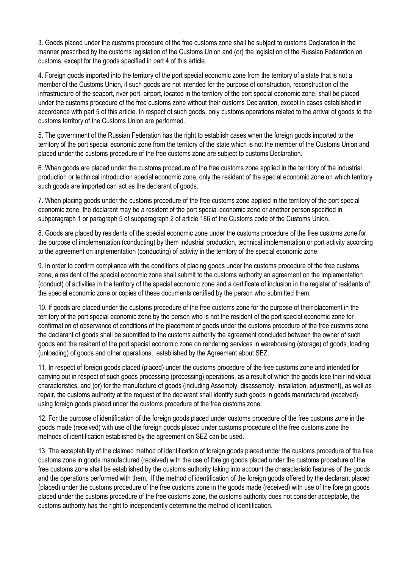3. Goods placed under the customs procedure of the free customs zone shall be subject to customs Declaration in the manner prescribed by the customs legislation of the Customs Union and (or) the legislation of the Russian Federation on customs, except for the goods specified in part 4 of this article.

4. Foreign goods imported into the territory of the port special economic zone from the territory of a state that is not a member of the Customs Union, if such goods are not intended for the purpose of construction, reconstruction of the infrastructure of the seaport, river port, airport, located in the territory of the port special economic zone, shall be placed under the customs procedure of the free customs zone without their customs Declaration, except in cases established in accordance with part 5 of this article. In respect of such goods, only customs operations related to the arrival of goods to the customs territory of the Customs Union are performed.

5. The government of the Russian Federation has the right to establish cases when the foreign goods imported to the territory of the port special economic zone from the territory of the state which is not the member of the Customs Union and placed under the customs procedure of the free customs zone are subject to customs Declaration.

6. When goods are placed under the customs procedure of the free customs zone applied in the territory of the industrial production or technical introduction special economic zone, only the resident of the special economic zone on which territory such goods are imported can act as the declarant of goods.

7. When placing goods under the customs procedure of the free customs zone applied in the territory of the port special economic zone, the declarant may be a resident of the port special economic zone or another person specified in subparagraph 1 or paragraph 5 of subparagraph 2 of article 186 of the Customs code of the Customs Union.

8. Goods are placed by residents of the special economic zone under the customs procedure of the free customs zone for the purpose of implementation (conducting) by them industrial production, technical implementation or port activity according to the agreement on implementation (conducting) of activity in the territory of the special economic zone.

9. In order to confirm compliance with the conditions of placing goods under the customs procedure of the free customs zone, a resident of the special economic zone shall submit to the customs authority an agreement on the implementation (conduct) of activities in the territory of the special economic zone and a certificate of inclusion in the register of residents of the special economic zone or copies of these documents certified by the person who submitted them.

10. If goods are placed under the customs procedure of the free customs zone for the purpose of their placement in the territory of the port special economic zone by the person who is not the resident of the port special economic zone for confirmation of observance of conditions of the placement of goods under the customs procedure of the free customs zone the declarant of goods shall be submitted to the customs authority the agreement concluded between the owner of such goods and the resident of the port special economic zone on rendering services in warehousing (storage) of goods, loading (unloading) of goods and other operations., established by the Agreement about SEZ.

11. In respect of foreign goods placed (placed) under the customs procedure of the free customs zone and intended for carrying out in respect of such goods processing (processing) operations, as a result of which the goods lose their individual characteristics, and (or) for the manufacture of goods (including Assembly, disassembly, installation, adjustment), as well as repair, the customs authority at the request of the declarant shall identify such goods in goods manufactured (received) using foreign goods placed under the customs procedure of the free customs zone.

12. For the purpose of identification of the foreign goods placed under customs procedure of the free customs zone in the goods made (received) with use of the foreign goods placed under customs procedure of the free customs zone the methods of identification established by the agreement on SEZ can be used.

13. The acceptability of the claimed method of identification of foreign goods placed under the customs procedure of the free customs zone in goods manufactured (received) with the use of foreign goods placed under the customs procedure of the free customs zone shall be established by the customs authority taking into account the characteristic features of the goods and the operations performed with them, If the method of identification of the foreign goods offered by the declarant placed (placed) under the customs procedure of the free customs zone in the goods made (received) with use of the foreign goods placed under the customs procedure of the free customs zone, the customs authority does not consider acceptable, the customs authority has the right to independently determine the method of identification.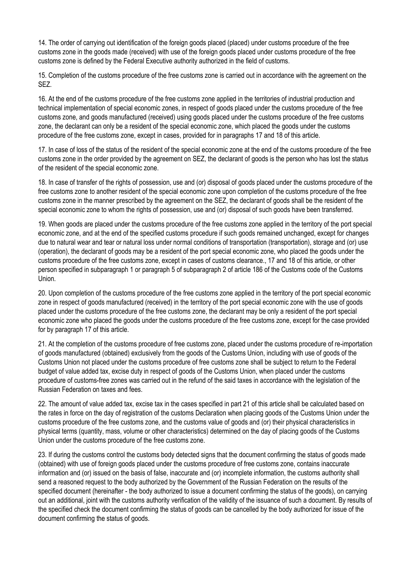14. The order of carrying out identification of the foreign goods placed (placed) under customs procedure of the free customs zone in the goods made (received) with use of the foreign goods placed under customs procedure of the free customs zone is defined by the Federal Executive authority authorized in the field of customs.

15. Completion of the customs procedure of the free customs zone is carried out in accordance with the agreement on the SEZ.

16. At the end of the customs procedure of the free customs zone applied in the territories of industrial production and technical implementation of special economic zones, in respect of goods placed under the customs procedure of the free customs zone, and goods manufactured (received) using goods placed under the customs procedure of the free customs zone, the declarant can only be a resident of the special economic zone, which placed the goods under the customs procedure of the free customs zone, except in cases, provided for in paragraphs 17 and 18 of this article.

17. In case of loss of the status of the resident of the special economic zone at the end of the customs procedure of the free customs zone in the order provided by the agreement on SEZ, the declarant of goods is the person who has lost the status of the resident of the special economic zone.

18. In case of transfer of the rights of possession, use and (or) disposal of goods placed under the customs procedure of the free customs zone to another resident of the special economic zone upon completion of the customs procedure of the free customs zone in the manner prescribed by the agreement on the SEZ, the declarant of goods shall be the resident of the special economic zone to whom the rights of possession, use and (or) disposal of such goods have been transferred.

19. When goods are placed under the customs procedure of the free customs zone applied in the territory of the port special economic zone, and at the end of the specified customs procedure if such goods remained unchanged, except for changes due to natural wear and tear or natural loss under normal conditions of transportation (transportation), storage and (or) use (operation), the declarant of goods may be a resident of the port special economic zone, who placed the goods under the customs procedure of the free customs zone, except in cases of customs clearance., 17 and 18 of this article, or other person specified in subparagraph 1 or paragraph 5 of subparagraph 2 of article 186 of the Customs code of the Customs Union.

20. Upon completion of the customs procedure of the free customs zone applied in the territory of the port special economic zone in respect of goods manufactured (received) in the territory of the port special economic zone with the use of goods placed under the customs procedure of the free customs zone, the declarant may be only a resident of the port special economic zone who placed the goods under the customs procedure of the free customs zone, except for the case provided for by paragraph 17 of this article.

21. At the completion of the customs procedure of free customs zone, placed under the customs procedure of re-importation of goods manufactured (obtained) exclusively from the goods of the Customs Union, including with use of goods of the Customs Union not placed under the customs procedure of free customs zone shall be subject to return to the Federal budget of value added tax, excise duty in respect of goods of the Customs Union, when placed under the customs procedure of customs-free zones was carried out in the refund of the said taxes in accordance with the legislation of the Russian Federation on taxes and fees.

22. The amount of value added tax, excise tax in the cases specified in part 21 of this article shall be calculated based on the rates in force on the day of registration of the customs Declaration when placing goods of the Customs Union under the customs procedure of the free customs zone, and the customs value of goods and (or) their physical characteristics in physical terms (quantity, mass, volume or other characteristics) determined on the day of placing goods of the Customs Union under the customs procedure of the free customs zone.

23. If during the customs control the customs body detected signs that the document confirming the status of goods made (obtained) with use of foreign goods placed under the customs procedure of free customs zone, contains inaccurate information and (or) issued on the basis of false, inaccurate and (or) incomplete information, the customs authority shall send a reasoned request to the body authorized by the Government of the Russian Federation on the results of the specified document (hereinafter - the body authorized to issue a document confirming the status of the goods), on carrying out an additional, joint with the customs authority verification of the validity of the issuance of such a document. By results of the specified check the document confirming the status of goods can be cancelled by the body authorized for issue of the document confirming the status of goods.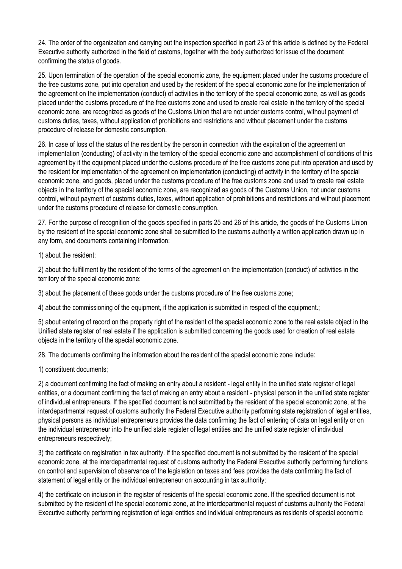24. The order of the organization and carrying out the inspection specified in part 23 of this article is defined by the Federal Executive authority authorized in the field of customs, together with the body authorized for issue of the document confirming the status of goods.

25. Upon termination of the operation of the special economic zone, the equipment placed under the customs procedure of the free customs zone, put into operation and used by the resident of the special economic zone for the implementation of the agreement on the implementation (conduct) of activities in the territory of the special economic zone, as well as goods placed under the customs procedure of the free customs zone and used to create real estate in the territory of the special economic zone, are recognized as goods of the Customs Union that are not under customs control, without payment of customs duties, taxes, without application of prohibitions and restrictions and without placement under the customs procedure of release for domestic consumption.

26. In case of loss of the status of the resident by the person in connection with the expiration of the agreement on implementation (conducting) of activity in the territory of the special economic zone and accomplishment of conditions of this agreement by it the equipment placed under the customs procedure of the free customs zone put into operation and used by the resident for implementation of the agreement on implementation (conducting) of activity in the territory of the special economic zone, and goods, placed under the customs procedure of the free customs zone and used to create real estate objects in the territory of the special economic zone, are recognized as goods of the Customs Union, not under customs control, without payment of customs duties, taxes, without application of prohibitions and restrictions and without placement under the customs procedure of release for domestic consumption.

27. For the purpose of recognition of the goods specified in parts 25 and 26 of this article, the goods of the Customs Union by the resident of the special economic zone shall be submitted to the customs authority a written application drawn up in any form, and documents containing information:

1) about the resident;

2) about the fulfillment by the resident of the terms of the agreement on the implementation (conduct) of activities in the territory of the special economic zone;

3) about the placement of these goods under the customs procedure of the free customs zone;

4) about the commissioning of the equipment, if the application is submitted in respect of the equipment.;

5) about entering of record on the property right of the resident of the special economic zone to the real estate object in the Unified state register of real estate if the application is submitted concerning the goods used for creation of real estate objects in the territory of the special economic zone.

28. The documents confirming the information about the resident of the special economic zone include:

1) constituent documents;

2) a document confirming the fact of making an entry about a resident - legal entity in the unified state register of legal entities, or a document confirming the fact of making an entry about a resident - physical person in the unified state register of individual entrepreneurs. If the specified document is not submitted by the resident of the special economic zone, at the interdepartmental request of customs authority the Federal Executive authority performing state registration of legal entities, physical persons as individual entrepreneurs provides the data confirming the fact of entering of data on legal entity or on the individual entrepreneur into the unified state register of legal entities and the unified state register of individual entrepreneurs respectively;

3) the certificate on registration in tax authority. If the specified document is not submitted by the resident of the special economic zone, at the interdepartmental request of customs authority the Federal Executive authority performing functions on control and supervision of observance of the legislation on taxes and fees provides the data confirming the fact of statement of legal entity or the individual entrepreneur on accounting in tax authority;

4) the certificate on inclusion in the register of residents of the special economic zone. If the specified document is not submitted by the resident of the special economic zone, at the interdepartmental request of customs authority the Federal Executive authority performing registration of legal entities and individual entrepreneurs as residents of special economic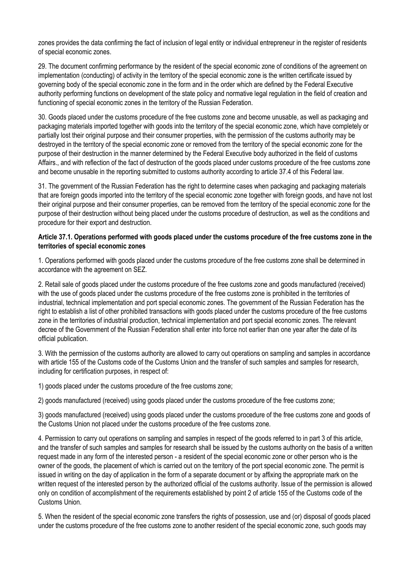zones provides the data confirming the fact of inclusion of legal entity or individual entrepreneur in the register of residents of special economic zones.

29. The document confirming performance by the resident of the special economic zone of conditions of the agreement on implementation (conducting) of activity in the territory of the special economic zone is the written certificate issued by governing body of the special economic zone in the form and in the order which are defined by the Federal Executive authority performing functions on development of the state policy and normative legal regulation in the field of creation and functioning of special economic zones in the territory of the Russian Federation.

30. Goods placed under the customs procedure of the free customs zone and become unusable, as well as packaging and packaging materials imported together with goods into the territory of the special economic zone, which have completely or partially lost their original purpose and their consumer properties, with the permission of the customs authority may be destroyed in the territory of the special economic zone or removed from the territory of the special economic zone for the purpose of their destruction in the manner determined by the Federal Executive body authorized in the field of customs Affairs., and with reflection of the fact of destruction of the goods placed under customs procedure of the free customs zone and become unusable in the reporting submitted to customs authority according to article 37.4 of this Federal law.

31. The government of the Russian Federation has the right to determine cases when packaging and packaging materials that are foreign goods imported into the territory of the special economic zone together with foreign goods, and have not lost their original purpose and their consumer properties, can be removed from the territory of the special economic zone for the purpose of their destruction without being placed under the customs procedure of destruction, as well as the conditions and procedure for their export and destruction.

#### **Article 37.1. Operations performed with goods placed under the customs procedure of the free customs zone in the territories of special economic zones**

1. Operations performed with goods placed under the customs procedure of the free customs zone shall be determined in accordance with the agreement on SEZ.

2. Retail sale of goods placed under the customs procedure of the free customs zone and goods manufactured (received) with the use of goods placed under the customs procedure of the free customs zone is prohibited in the territories of industrial, technical implementation and port special economic zones. The government of the Russian Federation has the right to establish a list of other prohibited transactions with goods placed under the customs procedure of the free customs zone in the territories of industrial production, technical implementation and port special economic zones. The relevant decree of the Government of the Russian Federation shall enter into force not earlier than one year after the date of its official publication.

3. With the permission of the customs authority are allowed to carry out operations on sampling and samples in accordance with article 155 of the Customs code of the Customs Union and the transfer of such samples and samples for research, including for certification purposes, in respect of:

1) goods placed under the customs procedure of the free customs zone;

2) goods manufactured (received) using goods placed under the customs procedure of the free customs zone;

3) goods manufactured (received) using goods placed under the customs procedure of the free customs zone and goods of the Customs Union not placed under the customs procedure of the free customs zone.

4. Permission to carry out operations on sampling and samples in respect of the goods referred to in part 3 of this article, and the transfer of such samples and samples for research shall be issued by the customs authority on the basis of a written request made in any form of the interested person - a resident of the special economic zone or other person who is the owner of the goods, the placement of which is carried out on the territory of the port special economic zone. The permit is issued in writing on the day of application in the form of a separate document or by affixing the appropriate mark on the written request of the interested person by the authorized official of the customs authority. Issue of the permission is allowed only on condition of accomplishment of the requirements established by point 2 of article 155 of the Customs code of the Customs Union.

5. When the resident of the special economic zone transfers the rights of possession, use and (or) disposal of goods placed under the customs procedure of the free customs zone to another resident of the special economic zone, such goods may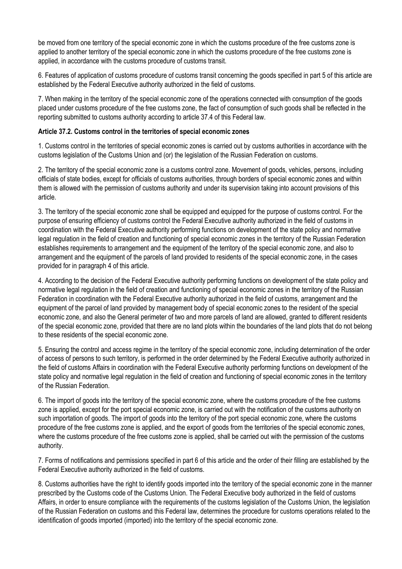be moved from one territory of the special economic zone in which the customs procedure of the free customs zone is applied to another territory of the special economic zone in which the customs procedure of the free customs zone is applied, in accordance with the customs procedure of customs transit.

6. Features of application of customs procedure of customs transit concerning the goods specified in part 5 of this article are established by the Federal Executive authority authorized in the field of customs.

7. When making in the territory of the special economic zone of the operations connected with consumption of the goods placed under customs procedure of the free customs zone, the fact of consumption of such goods shall be reflected in the reporting submitted to customs authority according to article 37.4 of this Federal law.

## **Article 37.2. Customs control in the territories of special economic zones**

1. Customs control in the territories of special economic zones is carried out by customs authorities in accordance with the customs legislation of the Customs Union and (or) the legislation of the Russian Federation on customs.

2. The territory of the special economic zone is a customs control zone. Movement of goods, vehicles, persons, including officials of state bodies, except for officials of customs authorities, through borders of special economic zones and within them is allowed with the permission of customs authority and under its supervision taking into account provisions of this article.

3. The territory of the special economic zone shall be equipped and equipped for the purpose of customs control. For the purpose of ensuring efficiency of customs control the Federal Executive authority authorized in the field of customs in coordination with the Federal Executive authority performing functions on development of the state policy and normative legal regulation in the field of creation and functioning of special economic zones in the territory of the Russian Federation establishes requirements to arrangement and the equipment of the territory of the special economic zone, and also to arrangement and the equipment of the parcels of land provided to residents of the special economic zone, in the cases provided for in paragraph 4 of this article.

4. According to the decision of the Federal Executive authority performing functions on development of the state policy and normative legal regulation in the field of creation and functioning of special economic zones in the territory of the Russian Federation in coordination with the Federal Executive authority authorized in the field of customs, arrangement and the equipment of the parcel of land provided by management body of special economic zones to the resident of the special economic zone, and also the General perimeter of two and more parcels of land are allowed, granted to different residents of the special economic zone, provided that there are no land plots within the boundaries of the land plots that do not belong to these residents of the special economic zone.

5. Ensuring the control and access regime in the territory of the special economic zone, including determination of the order of access of persons to such territory, is performed in the order determined by the Federal Executive authority authorized in the field of customs Affairs in coordination with the Federal Executive authority performing functions on development of the state policy and normative legal regulation in the field of creation and functioning of special economic zones in the territory of the Russian Federation.

6. The import of goods into the territory of the special economic zone, where the customs procedure of the free customs zone is applied, except for the port special economic zone, is carried out with the notification of the customs authority on such importation of goods. The import of goods into the territory of the port special economic zone, where the customs procedure of the free customs zone is applied, and the export of goods from the territories of the special economic zones, where the customs procedure of the free customs zone is applied, shall be carried out with the permission of the customs authority.

7. Forms of notifications and permissions specified in part 6 of this article and the order of their filling are established by the Federal Executive authority authorized in the field of customs.

8. Customs authorities have the right to identify goods imported into the territory of the special economic zone in the manner prescribed by the Customs code of the Customs Union. The Federal Executive body authorized in the field of customs Affairs, in order to ensure compliance with the requirements of the customs legislation of the Customs Union, the legislation of the Russian Federation on customs and this Federal law, determines the procedure for customs operations related to the identification of goods imported (imported) into the territory of the special economic zone.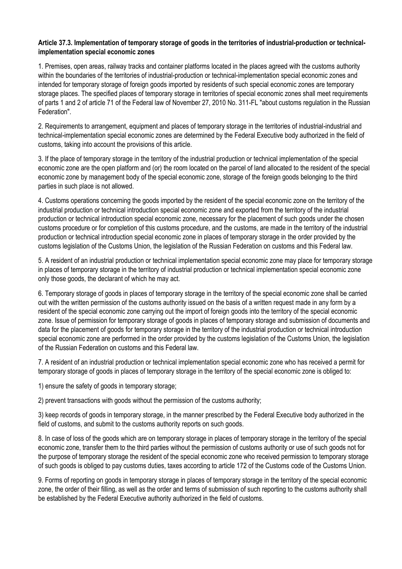## **Article 37.3. Implementation of temporary storage of goods in the territories of industrial-production or technicalimplementation special economic zones**

1. Premises, open areas, railway tracks and container platforms located in the places agreed with the customs authority within the boundaries of the territories of industrial-production or technical-implementation special economic zones and intended for temporary storage of foreign goods imported by residents of such special economic zones are temporary storage places. The specified places of temporary storage in territories of special economic zones shall meet requirements of parts 1 and 2 of article 71 of the Federal law of November 27, 2010 No. 311-FL "about customs regulation in the Russian Federation".

2. Requirements to arrangement, equipment and places of temporary storage in the territories of industrial-industrial and technical-implementation special economic zones are determined by the Federal Executive body authorized in the field of customs, taking into account the provisions of this article.

3. If the place of temporary storage in the territory of the industrial production or technical implementation of the special economic zone are the open platform and (or) the room located on the parcel of land allocated to the resident of the special economic zone by management body of the special economic zone, storage of the foreign goods belonging to the third parties in such place is not allowed.

4. Customs operations concerning the goods imported by the resident of the special economic zone on the territory of the industrial production or technical introduction special economic zone and exported from the territory of the industrial production or technical introduction special economic zone, necessary for the placement of such goods under the chosen customs procedure or for completion of this customs procedure, and the customs, are made in the territory of the industrial production or technical introduction special economic zone in places of temporary storage in the order provided by the customs legislation of the Customs Union, the legislation of the Russian Federation on customs and this Federal law.

5. A resident of an industrial production or technical implementation special economic zone may place for temporary storage in places of temporary storage in the territory of industrial production or technical implementation special economic zone only those goods, the declarant of which he may act.

6. Temporary storage of goods in places of temporary storage in the territory of the special economic zone shall be carried out with the written permission of the customs authority issued on the basis of a written request made in any form by a resident of the special economic zone carrying out the import of foreign goods into the territory of the special economic zone. Issue of permission for temporary storage of goods in places of temporary storage and submission of documents and data for the placement of goods for temporary storage in the territory of the industrial production or technical introduction special economic zone are performed in the order provided by the customs legislation of the Customs Union, the legislation of the Russian Federation on customs and this Federal law.

7. A resident of an industrial production or technical implementation special economic zone who has received a permit for temporary storage of goods in places of temporary storage in the territory of the special economic zone is obliged to:

1) ensure the safety of goods in temporary storage;

2) prevent transactions with goods without the permission of the customs authority;

3) keep records of goods in temporary storage, in the manner prescribed by the Federal Executive body authorized in the field of customs, and submit to the customs authority reports on such goods.

8. In case of loss of the goods which are on temporary storage in places of temporary storage in the territory of the special economic zone, transfer them to the third parties without the permission of customs authority or use of such goods not for the purpose of temporary storage the resident of the special economic zone who received permission to temporary storage of such goods is obliged to pay customs duties, taxes according to article 172 of the Customs code of the Customs Union.

9. Forms of reporting on goods in temporary storage in places of temporary storage in the territory of the special economic zone, the order of their filling, as well as the order and terms of submission of such reporting to the customs authority shall be established by the Federal Executive authority authorized in the field of customs.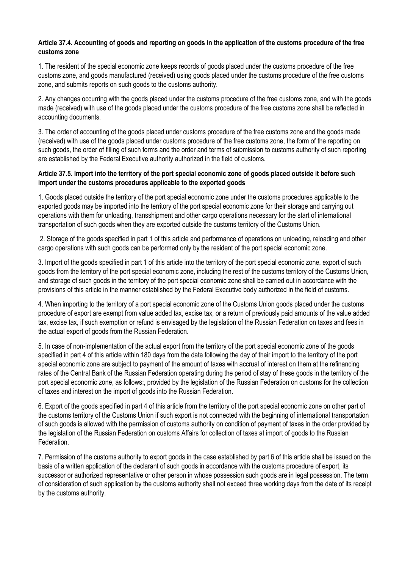# **Article 37.4. Accounting of goods and reporting on goods in the application of the customs procedure of the free customs zone**

1. The resident of the special economic zone keeps records of goods placed under the customs procedure of the free customs zone, and goods manufactured (received) using goods placed under the customs procedure of the free customs zone, and submits reports on such goods to the customs authority.

2. Any changes occurring with the goods placed under the customs procedure of the free customs zone, and with the goods made (received) with use of the goods placed under the customs procedure of the free customs zone shall be reflected in accounting documents.

3. The order of accounting of the goods placed under customs procedure of the free customs zone and the goods made (received) with use of the goods placed under customs procedure of the free customs zone, the form of the reporting on such goods, the order of filling of such forms and the order and terms of submission to customs authority of such reporting are established by the Federal Executive authority authorized in the field of customs.

## **Article 37.5. Import into the territory of the port special economic zone of goods placed outside it before such import under the customs procedures applicable to the exported goods**

1. Goods placed outside the territory of the port special economic zone under the customs procedures applicable to the exported goods may be imported into the territory of the port special economic zone for their storage and carrying out operations with them for unloading, transshipment and other cargo operations necessary for the start of international transportation of such goods when they are exported outside the customs territory of the Customs Union.

2. Storage of the goods specified in part 1 of this article and performance of operations on unloading, reloading and other cargo operations with such goods can be performed only by the resident of the port special economic zone.

3. Import of the goods specified in part 1 of this article into the territory of the port special economic zone, export of such goods from the territory of the port special economic zone, including the rest of the customs territory of the Customs Union, and storage of such goods in the territory of the port special economic zone shall be carried out in accordance with the provisions of this article in the manner established by the Federal Executive body authorized in the field of customs.

4. When importing to the territory of a port special economic zone of the Customs Union goods placed under the customs procedure of export are exempt from value added tax, excise tax, or a return of previously paid amounts of the value added tax, excise tax, if such exemption or refund is envisaged by the legislation of the Russian Federation on taxes and fees in the actual export of goods from the Russian Federation.

5. In case of non-implementation of the actual export from the territory of the port special economic zone of the goods specified in part 4 of this article within 180 days from the date following the day of their import to the territory of the port special economic zone are subject to payment of the amount of taxes with accrual of interest on them at the refinancing rates of the Central Bank of the Russian Federation operating during the period of stay of these goods in the territory of the port special economic zone, as follows:, provided by the legislation of the Russian Federation on customs for the collection of taxes and interest on the import of goods into the Russian Federation.

6. Export of the goods specified in part 4 of this article from the territory of the port special economic zone on other part of the customs territory of the Customs Union if such export is not connected with the beginning of international transportation of such goods is allowed with the permission of customs authority on condition of payment of taxes in the order provided by the legislation of the Russian Federation on customs Affairs for collection of taxes at import of goods to the Russian **Federation** 

7. Permission of the customs authority to export goods in the case established by part 6 of this article shall be issued on the basis of a written application of the declarant of such goods in accordance with the customs procedure of export, its successor or authorized representative or other person in whose possession such goods are in legal possession. The term of consideration of such application by the customs authority shall not exceed three working days from the date of its receipt by the customs authority.